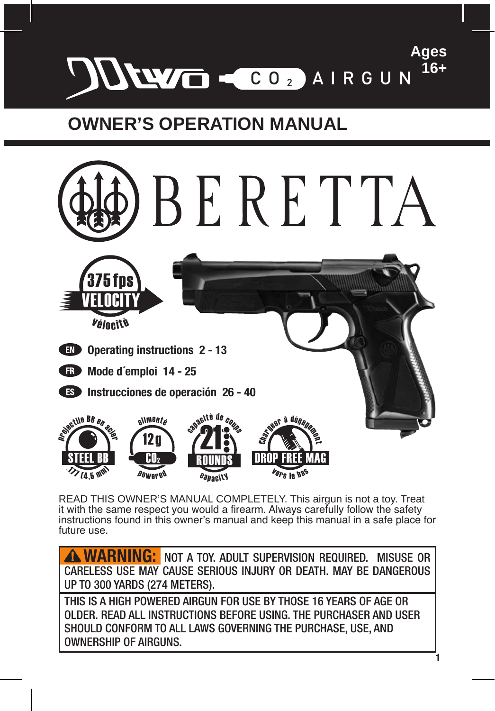

## **OWNER'S OPERATION MANUAL**



READ THIS OWNER'S MANUAL COMPLETELY. This airgun is not a toy. Treat it with the same respect you would a firearm. Always carefully follow the safety instructions found in this owner's manual and keep this manual in a safe place for future use.

**WARNING:** NOT A TOY. ADULT SUPERVISION REQUIRED. MISUSE OR CARELESS USE MAY CAUSE SERIOUS INJURY OR DEATH. MAY BE DANGEROUS UP TO 300 YARDS (274 METERS).

THIS IS A HIGH POWERED AIRGUN FOR USE BY THOSE 16 YEARS OF AGE OR OLDER. READ ALL INSTRUCTIONS BEFORE USING. THE PURCHASER AND USER SHOULD CONFORM TO ALL LAWS GOVERNING THE PURCHASE, USE, AND OWNERSHIP OF AIRGUNS.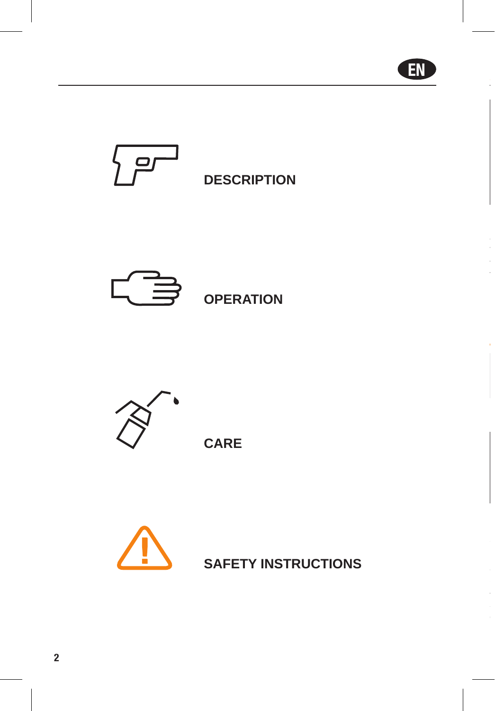







**CARE**



**SAFETY INSTRUCTIONS**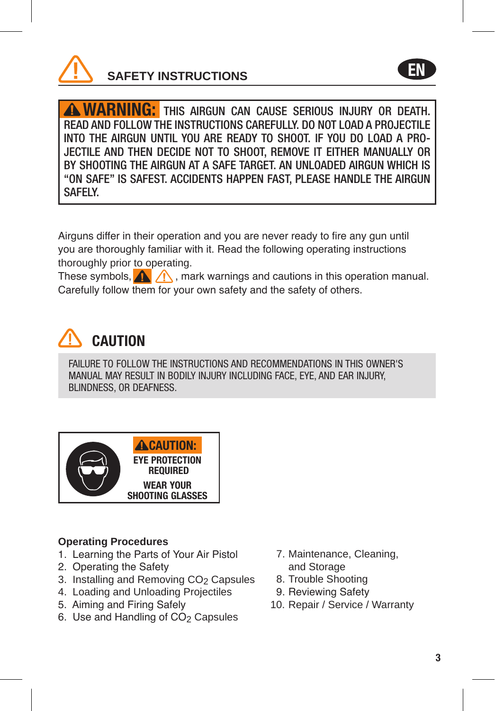

**WARNING:** This airgun can cause serious injury or death. READ AND FOLLOW THE INSTRUCTIONS CAREFULLY. DO NOT LOAD A PROJECTILE INTO THE AIRGUN UNTIL YOU ARE READY TO SHOOT. IF YOU DO LOAD A PRO-JECTILE AND THEN DECIDE NOT TO SHOOT, REMOVE IT EITHER MANUALLY OR BY SHOOTING THE AIRGUN AT A SAFE TARGET. AN UNLOADED AIRGUN WHICH IS "ON SAFE" IS SAFEST. ACCIDENTS HAPPEN FAST, PLEASE HANDLE THE AIRGUN SAFELY.

Airguns differ in their operation and you are never ready to fire any gun until you are thoroughly familiar with it. Read the following operating instructions thoroughly prior to operating.

These symbols,  $\bigwedge$ , mark warnings and cautions in this operation manual. Carefully follow them for your own safety and the safety of others.



FAILURE TO FOLLOW THE INSTRUCTIONS AND RECOMMENDATIONS IN THIS OWNER'S MANUAL MAY RESULT IN BODILY INJURY INCLUDING FACE, EYE, AND EAR INJURY, BLINDNESS, OR DEAFNESS.



## **Operating Procedures**

- 1. Learning the Parts of Your Air Pistol
- 2. Operating the Safety
- 3. Installing and Removing CO2 Capsules
- 4. Loading and Unloading Projectiles
- 5. Aiming and Firing Safely
- 6. Use and Handling of CO<sub>2</sub> Capsules
- 7. Maintenance, Cleaning, and Storage
- 8. Trouble Shooting
- 9. Reviewing Safety
- 10. Repair / Service / Warranty

EN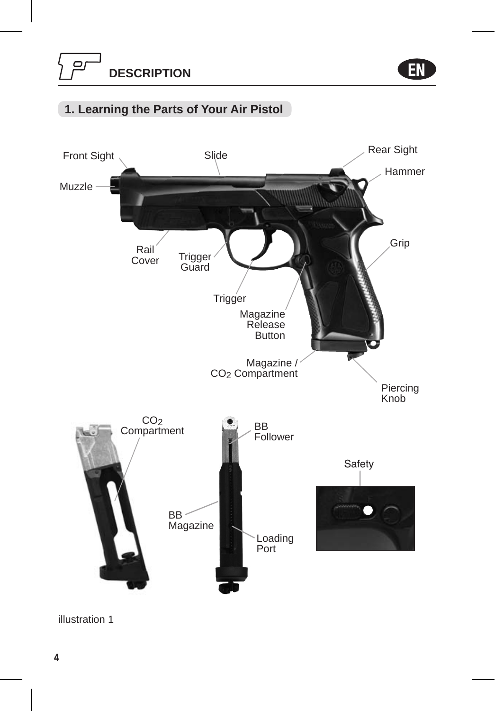EN

## **1. Learning the Parts of Your Air Pistol**



illustration 1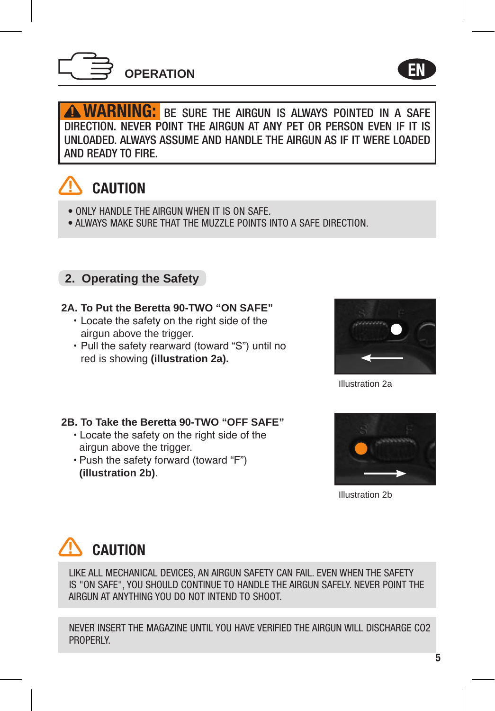

**WARNING:** BE SURE THE AIRGUN IS ALWAYS POINTED IN A SAFE DIRECTION. NEVER POINT THE AIRGUN AT ANY PET OR PERSON EVEN IF IT IS UNLOADED. ALWAYS ASSUME AND HANDLE THE AIRGUN AS IF IT WERE LOADED AND READY TO FIRE.

## CAUTION

- ONLY HANDLE THE AIRGUN WHEN IT IS ON SAFE.
- ALWAYS MAKE SURE THAT THE MUZZLE POINTS INTO A SAFE DIRECTION.

## **2. Operating the Safety**

## **2A. To Put the Beretta 90-TWO "ON SAFE"**

- Locate the safety on the right side of the airgun above the trigger.
- Pull the safety rearward (toward "S") until no red is showing **(illustration 2a).**



EN

Illustration 2a

#### **2B. To Take the Beretta 90-TWO "OFF SAFE"**

- Locate the safety on the right side of the airgun above the trigger.
- Push the safety forward (toward "F") **(illustration 2b)**.



Illustration 2b

## CAUTION

LIKE ALL MECHANICAL DEVICES, AN AIRGUN SAFETY CAN FAIL. EVEN WHEN THE SAFETY IS "ON SAFE", YOU SHOULD CONTINUE TO HANDLE THE AIRGUN SAFELY. NEVER POINT THE AIRGUN AT ANYTHING YOU DO NOT INTEND TO SHOOT.

NEVER INSERT THE MAGAZINE UNTIL YOU HAVE VERIFIED THE AIRGUN WILL DISCHARGE CO2 PROPERLY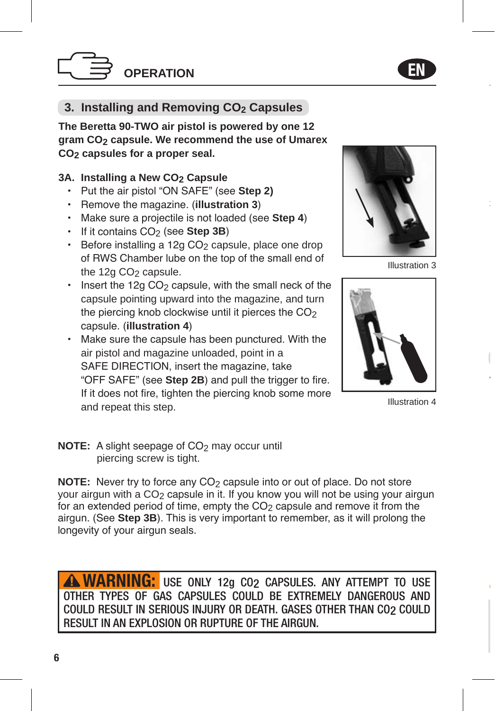

## **3. Installing and Removing CO2 Capsules**

**The Beretta 90-TWO air pistol is powered by one 12 gram CO2 capsule. We recommend the use of Umarex CO2 capsules for a proper seal.** 

## 3A. Installing a New CO<sub>2</sub> Capsule

- Put the air pistol "ON SAFE" (see **Step 2)**
- Remove the magazine. (**illustration 3**)
- Make sure a projectile is not loaded (see **Step 4**)
- If it contains CO<sub>2</sub> (see Step 3B)
- Before installing a 12g CO<sub>2</sub> capsule, place one drop of RWS Chamber lube on the top of the small end of the  $12a CO<sub>2</sub>$  capsule.
- $\cdot$  Insert the 12g CO<sub>2</sub> capsule, with the small neck of the capsule pointing upward into the magazine, and turn the piercing knob clockwise until it pierces the  $CO<sub>2</sub>$ capsule. (**illustration 4**)
- Make sure the capsule has been punctured. With the air pistol and magazine unloaded, point in a SAFE DIRECTION, insert the magazine, take "OFF SAFE" (see **Step 2B**) and pull the trigger to fire. If it does not fire, tighten the piercing knob some more and repeat this step.



Illustration 3

EN



Illustration 4

**NOTE:** A slight seepage of CO<sub>2</sub> may occur until piercing screw is tight.

**NOTE:** Never try to force any CO<sub>2</sub> capsule into or out of place. Do not store your airgun with a  $CO<sub>2</sub>$  capsule in it. If you know you will not be using your airgun for an extended period of time, empty the  $CO<sub>2</sub>$  capsule and remove it from the airgun. (See **Step 3B**). This is very important to remember, as it will prolong the longevity of your airgun seals.

**WARNING:** USE ONLY 12g CO<sub>2</sub> CAPSULES. ANY ATTEMPT TO USE OTHER TYPES OF GAS CAPSULES COULD BE EXTREMELY DANGEROUS AND COULD RESULT IN SERIOUS INJURY OR DEATH. GASES OTHER THAN CO2 COULD RESULT IN AN EXPLOSION OR RUPTURE OF THE AIRGUN.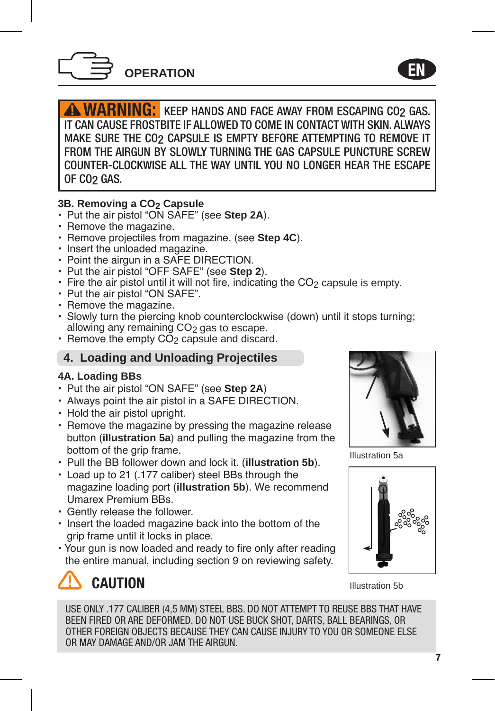

WARNING: KEEP HANDS AND FACE AWAY FROM ESCAPING CO2 GAS. IT CAN CAUSE FROSTBITE IF ALLOWED TO COME IN CONTACT WITH SKIN. ALWAYS MAKE SURE THE CO2 CAPSULE IS EMPTY BEFORE ATTEMPTING TO REMOVE IT FROM THE AIRGUN BY SLOWLY TURNING THE GAS CAPSULE PUNCTURE SCREW COUNTER-CLOCKWISE ALL THE WAY UNTIL YOU NO LONGER HEAR THE ESCAPE OF CO2 GAS.

#### **3B. Removing a CO2 Capsule**

- Put the air pistol "ON SAFE" (see **Step 2A**).
- Remove the magazine.
- Remove projectiles from magazine. (see **Step 4C**).
- Insert the unloaded magazine.
- Point the airgun in a SAFE DIRECTION.
- Put the air pistol "OFF SAFE" (see **Step 2**).
- $\cdot$  Fire the air pistol until it will not fire, indicating the CO<sub>2</sub> capsule is empty.
- Put the air pistol "ON SAFE".
- Remove the magazine.
- Slowly turn the piercing knob counterclockwise (down) until it stops turning; allowing any remaining CO<sub>2</sub> gas to escape.
- Remove the empty  $CO<sub>2</sub>$  capsule and discard.

## **4. Loading and Unloading Projectiles**

#### **4A. Loading BBs**

- Put the air pistol "ON SAFE" (see **Step 2A**)
- Always point the air pistol in a SAFE DIRECTION.
- Hold the air pistol upright.
- Remove the magazine by pressing the magazine release button (**illustration 5a**) and pulling the magazine from the bottom of the grip frame.
- Pull the BB follower down and lock it. (**illustration 5b**).
- Load up to 21 (.177 caliber) steel BBs through the magazine loading port (**illustration 5b**). We recommend Umarex Premium BBs.
- Gently release the follower.
- Insert the loaded magazine back into the bottom of the grip frame until it locks in place.
- Your gun is now loaded and ready to fire only after reading the entire manual, including section 9 on reviewing safety.



EN

Illustration 5a





Illustration 5b

USE ONLY .177 CALIBER (4,5 MM) STEEL BBS. DO NOT ATTEMPT TO REUSE BBS THAT HAVE BEEN FIRED OR ARE DEFORMED. DO NOT USE BUCK SHOT, DARTS, BALL BEARINGS, OR OTHER FOREIGN OBJECTS BECAUSE THEY CAN CAUSE INJURY TO YOU OR SOMEONE ELSE OR MAY DAMAGE AND/OR JAM THE AIRGUN.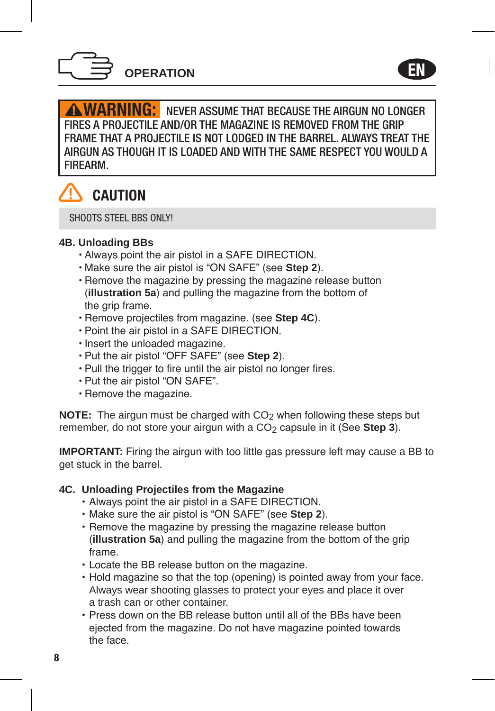

**WARNING:** NEVER ASSUME THAT BECAUSE THE AIRGUN NO LONGER FIRES A PROJECTILE AND/OR THE MAGAZINE IS REMOVED FROM THE GRIP FRAME THAT A PROJECTILE IS NOT LODGED IN THE BARREL. ALWAYS TREAT THE AIRGUN AS THOUGH IT IS LOADED AND WITH THE SAME RESPECT YOU WOULD A FIREARM.

EN



SHOOTS STEEL BBS ONLYL

#### **4B. Unloading BBs**

- Always point the air pistol in a SAFE DIRECTION.
- Make sure the air pistol is "ON SAFE" (see **Step 2**).
- Remove the magazine by pressing the magazine release button (**illustration 5a**) and pulling the magazine from the bottom of the grip frame.
- Remove projectiles from magazine. (see **Step 4C**).
- Point the air pistol in a SAFE DIRECTION.
- Insert the unloaded magazine.
- Put the air pistol "OFF SAFE" (see **Step 2**).
- Pull the trigger to fire until the air pistol no longer fires.
- Put the air pistol "ON SAFE".
- Remove the magazine.

**NOTE:** The airgun must be charged with CO<sub>2</sub> when following these steps but remember, do not store your airgun with a CO<sub>2</sub> capsule in it (See **Step 3**).

**IMPORTANT:** Firing the airgun with too little gas pressure left may cause a BB to get stuck in the barrel.

#### **4C. Unloading Projectiles from the Magazine**

- Always point the air pistol in a SAFE DIRECTION.
- Make sure the air pistol is "ON SAFE" (see **Step 2**).
- Remove the magazine by pressing the magazine release button (**illustration 5a**) and pulling the magazine from the bottom of the grip frame.
- Locate the BB release button on the magazine.
- Hold magazine so that the top (opening) is pointed away from your face. Always wear shooting glasses to protect your eyes and place it over a trash can or other container.
- Press down on the BB release button until all of the BBs have been ejected from the magazine. Do not have magazine pointed towards the face.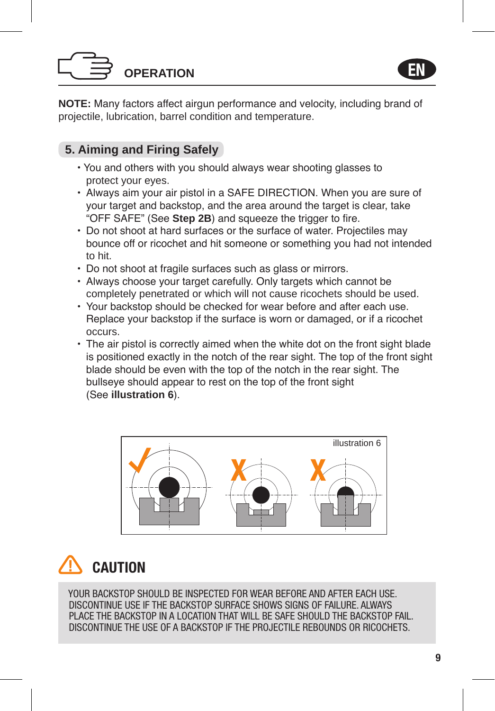# **OPERATION**



**NOTE:** Many factors affect airgun performance and velocity, including brand of projectile, lubrication, barrel condition and temperature.

## **5. Aiming and Firing Safely**

- You and others with you should always wear shooting glasses to protect your eyes.
- Always aim your air pistol in a SAFE DIRECTION. When you are sure of your target and backstop, and the area around the target is clear, take "OFF SAFE" (See **Step 2B**) and squeeze the trigger to fire.
- Do not shoot at hard surfaces or the surface of water. Projectiles may bounce off or ricochet and hit someone or something you had not intended to hit.
- Do not shoot at fragile surfaces such as glass or mirrors.
- Always choose your target carefully. Only targets which cannot be completely penetrated or which will not cause ricochets should be used.
- Your backstop should be checked for wear before and after each use. Replace your backstop if the surface is worn or damaged, or if a ricochet occurs.
- The air pistol is correctly aimed when the white dot on the front sight blade is positioned exactly in the notch of the rear sight. The top of the front sight blade should be even with the top of the notch in the rear sight. The bullseye should appear to rest on the top of the front sight (See **illustration 6**).



# **CAUTION**

YOUR BACKSTOP SHOULD BE INSPECTED FOR WEAR BEFORE AND AFTER FACH USE. DISCONTINUE USE IF THE BACKSTOP SURFACE SHOWS SIGNS OF FAILURE. ALWAYS PLACE THE BACKSTOP IN A LOCATION THAT WILL BE SAFE SHOULD THE BACKSTOP FAIL. DISCONTINUE THE USE OF A BACKSTOP IF THE PROJECTILE REBOUNDS OR RICOCHETS.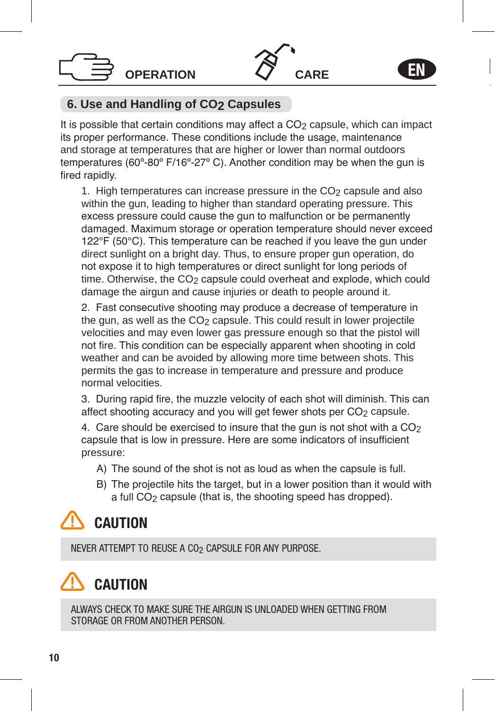

## **6. Use and Handling of CO2 Capsules**

**OPERATION**

It is possible that certain conditions may affect a  $CO<sub>2</sub>$  capsule, which can impact its proper performance. These conditions include the usage, maintenance and storage at temperatures that are higher or lower than normal outdoors temperatures (60º-80º F/16º-27º C). Another condition may be when the gun is fired rapidly.

1. High temperatures can increase pressure in the  $CO<sub>2</sub>$  capsule and also within the gun, leading to higher than standard operating pressure. This excess pressure could cause the gun to malfunction or be permanently damaged. Maximum storage or operation temperature should never exceed 122°F (50°C). This temperature can be reached if you leave the gun under direct sunlight on a bright day. Thus, to ensure proper gun operation, do not expose it to high temperatures or direct sunlight for long periods of time. Otherwise, the CO<sub>2</sub> capsule could overheat and explode, which could damage the airgun and cause injuries or death to people around it.

2. Fast consecutive shooting may produce a decrease of temperature in the gun, as well as the CO<sub>2</sub> capsule. This could result in lower projectile velocities and may even lower gas pressure enough so that the pistol will not fire. This condition can be especially apparent when shooting in cold weather and can be avoided by allowing more time between shots. This permits the gas to increase in temperature and pressure and produce normal velocities.

3. During rapid fire, the muzzle velocity of each shot will diminish. This can affect shooting accuracy and you will get fewer shots per CO<sub>2</sub> capsule.

4. Care should be exercised to insure that the gun is not shot with a  $CO<sub>2</sub>$ capsule that is low in pressure. Here are some indicators of insufficient pressure:

- A) The sound of the shot is not as loud as when the capsule is full.
- B) The projectile hits the target, but in a lower position than it would with a full CO<sub>2</sub> capsule (that is, the shooting speed has dropped).

## CAUTION

NEVER ATTEMPT TO REUSE A CO<sub>2</sub> CAPSULE FOR ANY PURPOSE.

## **CAUTION**

ALWAYS CHECK TO MAKE SURE THE AIRGUN IS UNLOADED WHEN GETTING FROM STORAGE OR FROM ANOTHER PERSON.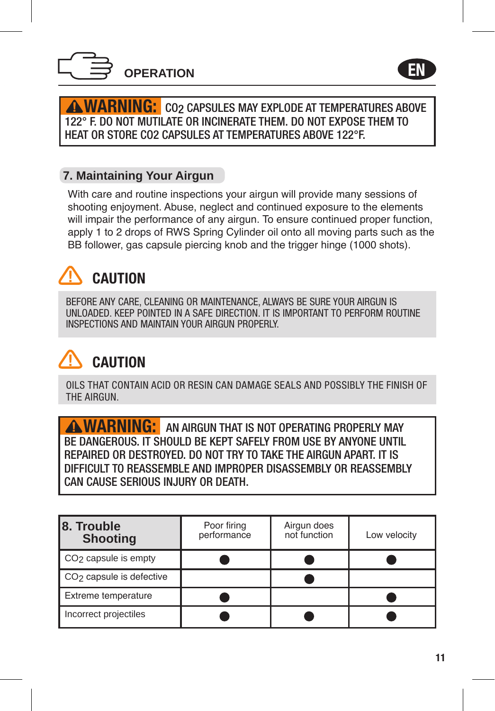

EN

**WARNING:** CO2 CAPSULES MAY EXPLODE AT TEMPERATURES ABOVE 122° F. DO NOT MUTILATE OR INCINERATE THEM. DO NOT EXPOSE THEM TO HEAT OR STORE CO2 CAPSULES AT TEMPERATURES ABOVE 122°F.

## **7. Maintaining Your Airgun**

With care and routine inspections your airgun will provide many sessions of shooting enjoyment. Abuse, neglect and continued exposure to the elements will impair the performance of any airgun. To ensure continued proper function, apply 1 to 2 drops of RWS Spring Cylinder oil onto all moving parts such as the BB follower, gas capsule piercing knob and the trigger hinge (1000 shots).

## CAUTION

BEFORE ANY CARE, CLEANING OR MAINTENANCE, ALWAYS BE SURE YOUR AIRGUN IS UNLOADED. KEEP POINTED IN A SAFE DIRECTION. IT IS IMPORTANT TO PERFORM ROUTINE INSPECTIONS AND MAINTAIN YOUR AIRGUN PROPERLY.

## CAUTION

OILS THAT CONTAIN ACID OR RESIN CAN DAMAGE SEALS AND POSSIBLY THE FINISH OF THE AIRGUN.

**WARNING:** AN AIRGUN THAT IS NOT OPERATING PROPERLY MAY BE DANGEROUS. IT SHOULD BE KEPT SAFELY FROM USE BY ANYONE UNTIL REPAIRED OR DESTROYED. DO NOT TRY TO TAKE THE AIRGUN APART. IT IS DIFFICULT TO REASSEMBLE AND IMPROPER DISASSEMBLY OR REASSEMBLY CAN CAUSE SERIOUS INJURY OR DEATH.

| 8. Trouble<br><b>Shooting</b>        | Poor firing<br>performance | Airgun does<br>not function | Low velocity |
|--------------------------------------|----------------------------|-----------------------------|--------------|
| CO <sub>2</sub> capsule is empty     |                            |                             |              |
| CO <sub>2</sub> capsule is defective |                            |                             |              |
| Extreme temperature                  |                            |                             |              |
| Incorrect projectiles                |                            |                             |              |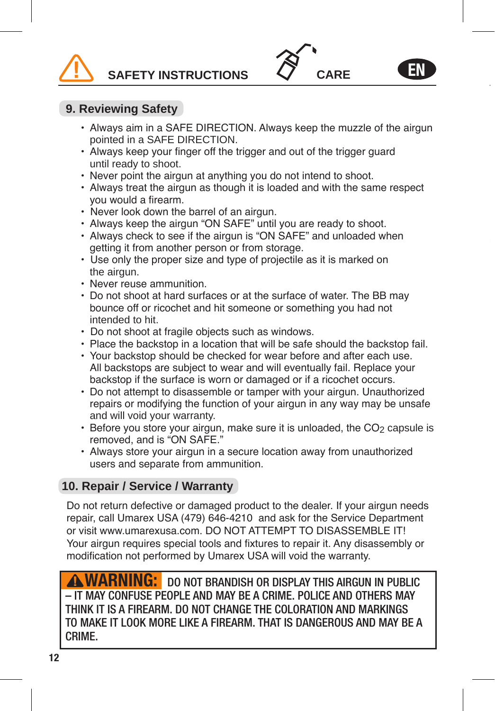**SAFETY INSTRUCTIONS**



## **9. Reviewing Safety**

- Always aim in a SAFE DIRECTION. Always keep the muzzle of the airgun pointed in a SAFE DIRECTION.
- Always keep your finger off the trigger and out of the trigger guard until ready to shoot.
- Never point the airgun at anything you do not intend to shoot.
- Always treat the airgun as though it is loaded and with the same respect you would a firearm.
- Never look down the barrel of an airgun.
- Always keep the airgun "ON SAFE" until you are ready to shoot.
- Always check to see if the airgun is "ON SAFE" and unloaded when getting it from another person or from storage.
- Use only the proper size and type of projectile as it is marked on the airgun.
- Never reuse ammunition.
- Do not shoot at hard surfaces or at the surface of water. The BB may bounce off or ricochet and hit someone or something you had not intended to hit.
- Do not shoot at fragile objects such as windows.
- Place the backstop in a location that will be safe should the backstop fail.
- Your backstop should be checked for wear before and after each use. All backstops are subject to wear and will eventually fail. Replace your backstop if the surface is worn or damaged or if a ricochet occurs.
- Do not attempt to disassemble or tamper with your airgun. Unauthorized repairs or modifying the function of your airgun in any way may be unsafe and will void your warranty.
- Before you store your airgun, make sure it is unloaded, the  $CO<sub>2</sub>$  capsule is removed, and is "ON SAFE."
- Always store your airgun in a secure location away from unauthorized users and separate from ammunition.

## **10. Repair / Service / Warranty**

Do not return defective or damaged product to the dealer. If your airgun needs repair, call Umarex USA (479) 646-4210 and ask for the Service Department or visit www.umarexusa.com. DO NOT ATTEMPT TO DISASSEMBLE IT! Your airgun requires special tools and fixtures to repair it. Any disassembly or modification not performed by Umarex USA will void the warranty.

WARNING: DO NOT BRANDISH OR DISPLAY THIS AIRGUN IN PUBLIC – IT MAY CONFUSE PEOPLE AND MAY BE A CRIME. POLICE AND OTHERS MAY K IT IS A FIREARM. DO NOT CHANGE THE COLORATION AND MARKINGS TO MAKE IT LOOK MORE LIKE A FIREARM. THAT IS DANGEROUS AND MAY BE A CRIME.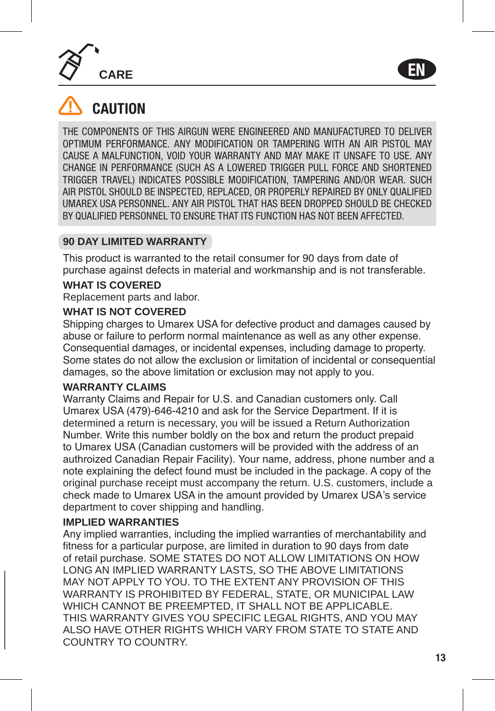**CARE**



## CAUTION

THE COMPONENTS OF THIS AIRGUN WERE ENGINEERED AND MANUFACTURED TO DELIVER OPTIMUM PERFORMANCE. ANY MODIFICATION OR TAMPERING WITH AN AIR PISTOL MAY CAUSE A MALFUNCTION, VOID YOUR WARRANTY AND MAY MAKE IT UNSAFE TO USE. ANY CHANGE IN PERFORMANCE (SUCH AS A LOWERED TRIGGER PULL FORCE AND SHORTENED TRIGGER TRAVEL) INDICATES POSSIBLE MODIFICATION, TAMPERING AND/OR WEAR. SUCH AIR PISTOL SHOULD BE INSPECTED, REPLACED, OR PROPERLY REPAIRED BY ONLY QUALIFIED UMAREX USA PERSONNEL. ANY AIR PISTOL THAT HAS BEEN DROPPED SHOULD BE CHECKED BY QUALIFIED PERSONNEL TO ENSURE THAT ITS FUNCTION HAS NOT BEEN AFFECTED.

#### **90 DAY LIMITED WARRANTY**

This product is warranted to the retail consumer for 90 days from date of purchase against defects in material and workmanship and is not transferable.

#### **WHAT IS COVERED**

Replacement parts and labor.

#### **WHAT IS NOT COVERED**

Shipping charges to Umarex USA for defective product and damages caused by abuse or failure to perform normal maintenance as well as any other expense. Consequential damages, or incidental expenses, including damage to property. Some states do not allow the exclusion or limitation of incidental or consequential damages, so the above limitation or exclusion may not apply to you.

#### **WARRANTY CLAIMS**

Warranty Claims and Repair for U.S. and Canadian customers only. Call Umarex USA (479)-646-4210 and ask for the Service Department. If it is determined a return is necessary, you will be issued a Return Authorization Number. Write this number boldly on the box and return the product prepaid to Umarex USA (Canadian customers will be provided with the address of an authroized Canadian Repair Facility). Your name, address, phone number and a note explaining the defect found must be included in the package. A copy of the original purchase receipt must accompany the return. U.S. customers, include a check made to Umarex USA in the amount provided by Umarex USA's service department to cover shipping and handling.

#### **IMPLIED WARRANTIES**

Any implied warranties, including the implied warranties of merchantability and fitness for a particular purpose, are limited in duration to 90 days from date of retail purchase. SOME STATES DO NOT ALLOW LIMITATIONS ON HOW LONG AN IMPLIED WARRANTY LASTS, SO THE ABOVE LIMITATIONS MAY NOT APPLY TO YOU. TO THE EXTENT ANY PROVISION OF THIS WARRANTY IS PROHIBITED BY FEDERAL, STATE, OR MUNICIPAL LAW WHICH CANNOT BE PREEMPTED, IT SHALL NOT BE APPLICABLE. THIS WARRANTY GIVES YOU SPECIFIC LEGAL RIGHTS, AND YOU MAY ALSO HAVE OTHER RIGHTS WHICH VARY FROM STATE TO STATE AND COUNTRY TO COUNTRY.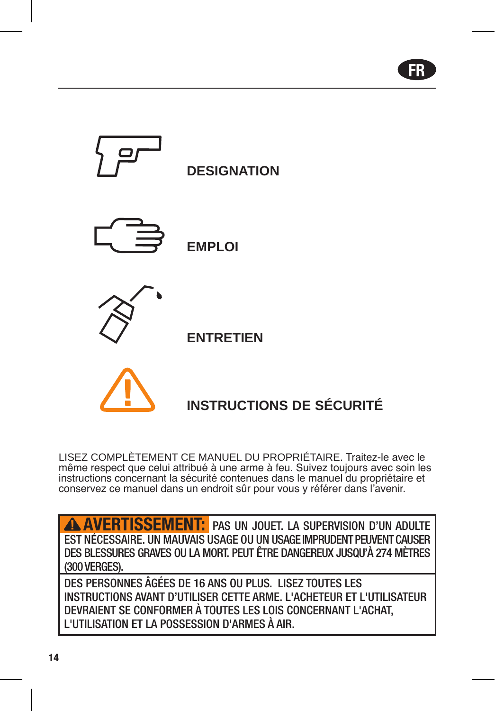FR



## **INSTRUCTIONS DE SÉCURITÉ**

LISEZ COMPLÈTEMENT CE MANUEL DU PROPRIÉTAIRE. Traitez-le avec le même respect que celui attribué à une arme à feu. Suivez toujours avec soin les instructions concernant la sécurité contenues dans le manuel du propriétaire et conservez ce manuel dans un endroit sûr pour vous y référer dans l'avenir.

AVERTISSEMENT: PAS UN JOUET. LA SUPERVISION D'UN ADULTE EST NÉCESSAIRE. UN MAUVAIS USAGE OU UN USAGE IMPRUDENT PEUVENT CAUSER DES BLESSURES GRAVES OU LA MORT. PEUT ÊTRE DANGEREUX JUSQU'À 274 MÈTRES (300 VERGES).

DES PERSONNES ÂGÉES DE 16 ANS OU PLUS. LISEZ TOUTES LES INSTRUCTIONS AVANT D'UTILISER CETTE ARME. L'ACHETEUR ET L'UTILISATEUR DEVRAIENT SE CONFORMER À TOUTES LES LOIS CONCERNANT L'ACHAT, L'UTILISATION ET LA POSSESSION D'ARMES À AIR.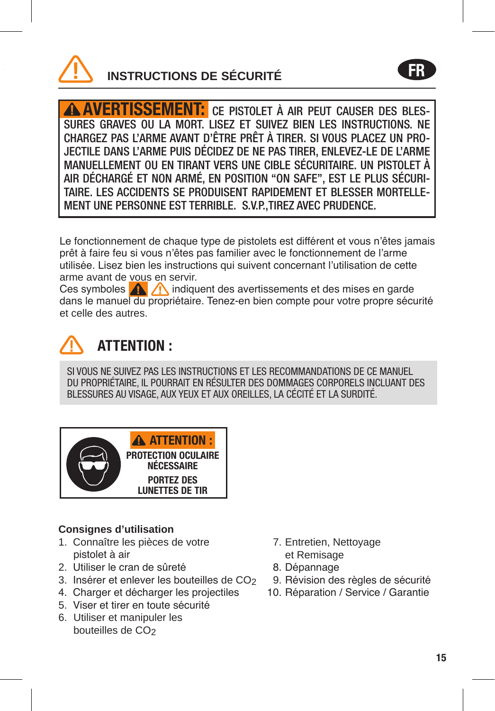

AVERTISSEMENT: CE PISTOLET À AIR PEUT CAUSER DES BLES-SURES GRAVES OU LA MORT. LISEZ ET SUIVEZ BIEN LES INSTRUCTIONS. NE CHARGEZ PAS L'ARME AVANT D'ÊTRE PRÊT À TIRER. SI VOUS PLACEZ UN PRO-JECTILE DANS L'ARME PUIS DÉCIDEZ DE NE PAS TIRER, ENLEVEZ-LE DE L'ARME MANUELLEMENT OU EN TIRANT VERS UNE CIBLE SÉCURITAIRE. UN PISTOLET À AIR DÉCHARGÉ ET NON ARMÉ, EN POSITION "ON SAFE", EST LE PLUS SÉCURI-TAIRE. LES ACCIDENTS SE PRODUISENT RAPIDEMENT ET BLESSER MORTELLE-MENT UNE PERSONNE EST TERRIBLE. S.V.P.,TIREZ AVEC PRUDENCE.

Le fonctionnement de chaque type de pistolets est différent et vous n'êtes jamais prêt à faire feu si vous n'êtes pas familier avec le fonctionnement de l'arme utilisée. Lisez bien les instructions qui suivent concernant l'utilisation de cette arme avant de vous en servir.

Ces symboles **indiquent des avertissements et des mises en garde** dans le manuel du propriétaire. Tenez-en bien compte pour votre propre sécurité et celle des autres.



## ATTENTION :

SI VOUS NE SUIVEZ PAS LES INSTRUCTIONS ET LES RECOMMANDATIONS DE CE MANUEL DU PROPRIÉTAIRE, IL POURRAIT EN RÉSULTER DES DOMMAGES CORPORELS INCLUANT DES BLESSURES AU VISAGE, AUX YEUX ET AUX OREILLES, LA CÉCITÉ ET LA SURDITÉ.



## **Consignes d'utilisation**

- 1. Connaître les pièces de votre pistolet à air
- 2. Utiliser le cran de sûreté
- 3. Insérer et enlever les bouteilles de CO<sub>2</sub>
- 4. Charger et décharger les projectiles
- 5. Viser et tirer en toute sécurité
- 6. Utiliser et manipuler les bouteilles de CO<sub>2</sub>
- 7. Entretien, Nettoyage et Remisage
- 8. Dépannage
- 9. Révision des règles de sécurité
- 10. Réparation / Service / Garantie

FR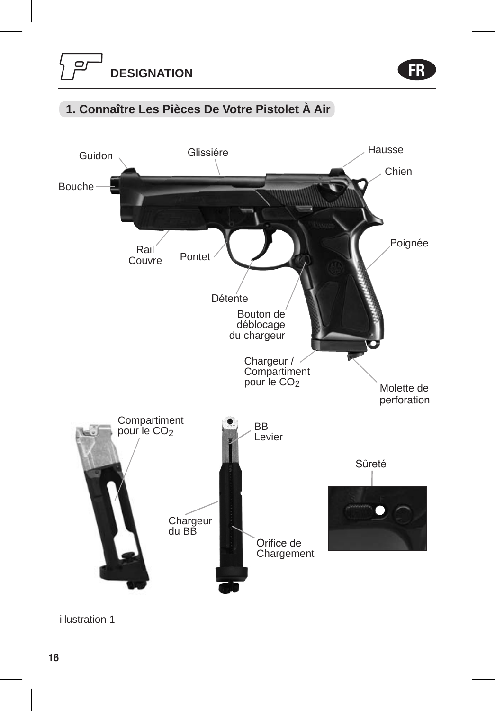FR

## **1. Connaître Les Pièces De Votre Pistolet À Air**



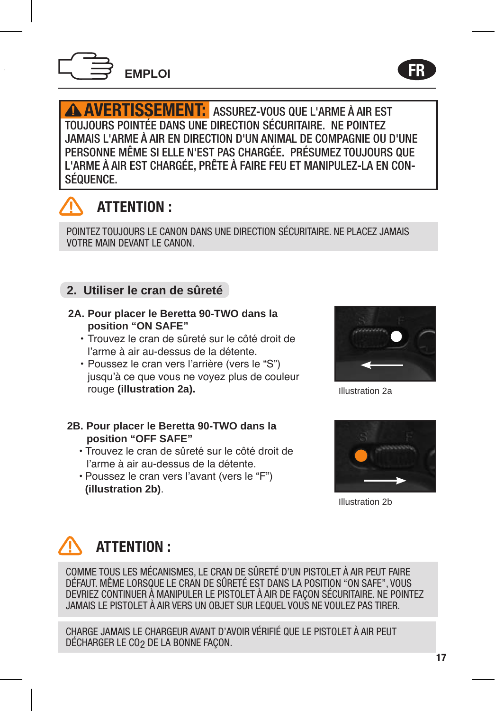

AVERTISSEMENT: ASSUREZ-VOUS QUE L'ARME À AIR EST TOUJOURS POINTÉE DANS UNE DIRECTION SÉCURITAIRE. NE POINTEZ JAMAIS L'ARME À AIR EN DIRECTION D'UN ANIMAL DE COMPAGNIE OU D'UNE PERSONNE MÊME SI ELLE N'EST PAS CHARGÉE. PRÉSUMEZ TOUJOURS QUE L'ARME À AIR EST CHARGÉE, PRÊTE À FAIRE FEU ET MANIPULEZ-LA EN CON-SÉQUENCE.



## ATTENTION :

POINTEZ TOUJOURS LE CANON DANS UNE DIRECTION SÉCURITAIRE. NE PLACEZ JAMAIS VOTRE MAIN DEVANT LE CANON.

## **2. Utiliser le cran de sûreté**

- **2A. Pour placer le Beretta 90-TWO dans la position "ON SAFE"**
	- Trouvez le cran de sûreté sur le côté droit de l'arme à air au-dessus de la détente.
	- Poussez le cran vers l'arrière (vers le "S") jusqu'à ce que vous ne voyez plus de couleur rouge **(illustration 2a).**
- **2B. Pour placer le Beretta 90-TWO dans la position "OFF SAFE"**
	- Trouvez le cran de sûreté sur le côté droit de l'arme à air au-dessus de la détente.
	- Poussez le cran vers l'avant (vers le "F") **(illustration 2b)**.



FR

Illustration 2a



Illustration 2b

## ATTENTION :

COMME TOUS LES MÉCANISMES, LE CRAN DE SÛRETÉ D'UN PISTOLET À AIR PEUT FAIRE DÉFAUT. MÊME LORSQUE LE CRAN DE SÛRETÉ EST DANS LA POSITION "ON SAFE", VOUS DEVRIEZ CONTINUER À MANIPULER LE PISTOLET À AIR DE FAÇON SÉCURITAIRE. NE POINTEZ JAMAIS LE PISTOLET À AIR VERS UN OBJET SUR LEQUEL VOUS NE VOULEZ PAS TIRER.

CHARGE JAMAIS LE CHARGEUR AVANT D'AVOIR VÉRIFIÉ QUE LE PISTOLET À AIR PEUT DÉCHARGER LE CO2 DE LA BONNE FAÇON.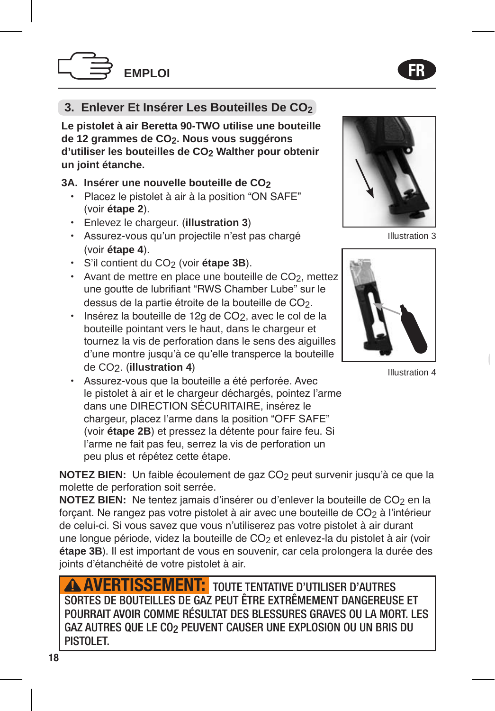## **3. Enlever Et Insérer Les Bouteilles De CO2**

**Le pistolet à air Beretta 90-TWO utilise une bouteille de 12 grammes de CO2. Nous vous suggérons d'utiliser les bouteilles de CO2 Walther pour obtenir un joint étanche.** 

#### **3A. Insérer une nouvelle bouteille de CO2**

- Placez le pistolet à air à la position "ON SAFE" (voir **étape 2**).
- Enlevez le chargeur. (**illustration 3**)
- Assurez-vous qu'un projectile n'est pas chargé (voir **étape 4**).
- S'il contient du CO2 (voir **étape 3B**).
- Avant de mettre en place une bouteille de CO<sub>2</sub>, mettez une goutte de lubrifiant "RWS Chamber Lube" sur le dessus de la partie étroite de la bouteille de CO<sub>2</sub>.
- Insérez la bouteille de 12g de CO2, avec le col de la bouteille pointant vers le haut, dans le chargeur et tournez la vis de perforation dans le sens des aiguilles d'une montre jusqu'à ce qu'elle transperce la bouteille de CO2. (**illustration 4**)
- Assurez-vous que la bouteille a été perforée. Avec le pistolet à air et le chargeur déchargés, pointez l'arme dans une DIRECTION SÉCURITAIRE, insérez le chargeur, placez l'arme dans la position "OFF SAFE" (voir **étape 2B**) et pressez la détente pour faire feu. Si l'arme ne fait pas feu, serrez la vis de perforation un peu plus et répétez cette étape.

**NOTEZ BIEN:** Un faible écoulement de gaz CO<sub>2</sub> peut survenir jusqu'à ce que la molette de perforation soit serrée.

**NOTEZ BIEN:** Ne tentez jamais d'insérer ou d'enlever la bouteille de CO<sub>2</sub> en la forcant. Ne rangez pas votre pistolet à air avec une bouteille de CO<sub>2</sub> à l'intérieur de celui-ci. Si vous savez que vous n'utiliserez pas votre pistolet à air durant une longue période, videz la bouteille de CO2 et enlevez-la du pistolet à air (voir **étape 3B**). Il est important de vous en souvenir, car cela prolongera la durée des joints d'étanchéité de votre pistolet à air.

**AVERTISSEMENT:** TOUTE TENTATIVE D'UTILISER D'AUTRES SORTES DE BOUTEILLES DE GAZ PEUT ÊTRE EXTRÊMEMENT DANGEREUSE ET POURRAIT AVOIR COMME RÉSULTAT DES BLESSURES GRAVES OU LA MORT. LES GAZ AUTRES QUE LE CO2 PEUVENT CAUSER UNE EXPLOSION OU UN BRIS DU PISTOLET.



Illustration 3



Illustration 4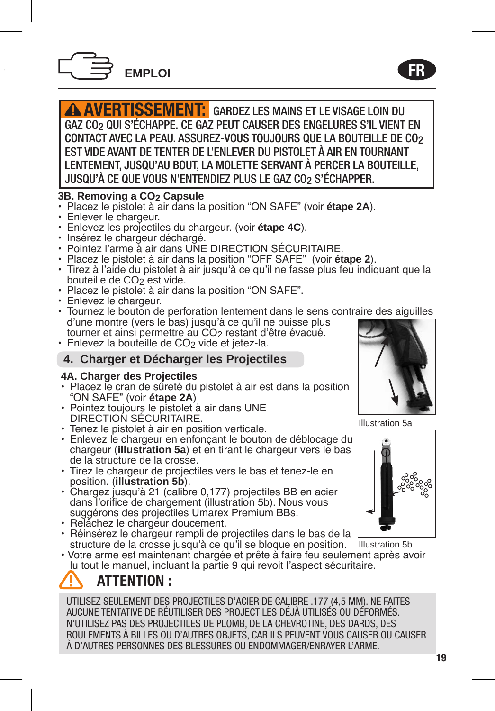

AVERTISSEMENT: GARDEZ LES MAINS ET LE VISAGE LOIN DU GAZ CO2 QUI S'ÉCHAPPE. CE GAZ PEUT CAUSER DES ENGELURES S'IL VIENT EN CONTACT AVEC LA PEAU. ASSUREZ-VOUS TOUJOURS QUE LA BOUTEILLE DE CO2 EST VIDE AVANT DE TENTER DE L'ENLEVER DU PISTOLET À AIR EN TOURNANT LENTEMENT, JUSQU'AU BOUT, LA MOLETTE SERVANT À PERCER LA BOUTEILLE, JUSQU'À CE QUE VOUS N'ENTENDIEZ PLUS LE GAZ CO2 S'ÉCHAPPER.

#### **3B. Removing a CO2 Capsule**

- Placez le pistolet à air dans la position "ON SAFE" (voir **étape 2A**).
- Enlever le chargeur.
- Enlevez les projectiles du chargeur. (voir **étape 4C**).
- Insérez le chargeur déchargé.
- Pointez l'arme à air dans UNE DIRECTION SÉCURITAIRE.
- Placez le pistolet à air dans la position "OFF SAFE" (voir **étape 2**).
- Tirez à l'aide du pistolet à air jusqu'à ce qu'il ne fasse plus feu indiquant que la bouteille de CO<sub>2</sub> est vide.
- Placez le pistolet à air dans la position "ON SAFE".
- Enlevez le chargeur.
- Tournez le bouton de perforation lentement dans le sens contraire des aiguilles d'une montre (vers le bas) jusqu'à ce qu'il ne puisse plus tourner et ainsi permettre au CO2 restant d'être évacué.
- Enlevez la bouteille de CO<sub>2</sub> vide et jetez-la.

## **4. Charger et Décharger les Projectiles**

#### **4A. Charger des Projectiles**

- Placez le cran de sûreté du pistolet à air est dans la position "ON SAFE" (voir **étape 2A**)
- Pointez toujours le pistolet à air dans UNE DIRECTION SÉCURITAIRE.
- Tenez le pistolet à air en position verticale.
- Enlevez le chargeur en enfonçant le bouton de déblocage du chargeur (**illustration 5a**) et en tirant le chargeur vers le bas de la structure de la crosse.
- Tirez le chargeur de projectiles vers le bas et tenez-le en position. (**illustration 5b**).
- Chargez jusqu'à 21 (calibre 0,177) projectiles BB en acier dans l'orifice de chargement (illustration 5b). Nous vous suggérons des projectiles Umarex Premium BBs.
- Relâchez le chargeur doucement.
- Réinsérez le chargeur rempli de projectiles dans le bas de la structure de la crosse jusqu'à ce qu'il se bloque en position.
- Votre arme est maintenant chargée et prête à faire feu seulement après avoir lu tout le manuel, incluant la partie 9 qui revoit l'aspect sécuritaire. Illustration 5b

## ATTENTION :

UTILISEZ SEULEMENT DES PROJECTILES D'ACIER DE CALIBRE .177 (4,5 MM). NE FAITES AUCUNE TENTATIVE DE RÉUTILISER DES PROJECTILES DÉJÀ UTILISÉS OU DÉFORMÉS. N'UTILISEZ PAS DES PROJECTILES DE PLOMB, DE LA CHEVROTINE, DES DARDS, DES ROULEMENTS À BILLES OU D'AUTRES OBJETS, CAR ILS PEUVENT VOUS CAUSER OU CAUSER À D'AUTRES PERSONNES DES BLESSURES OU ENDOMMAGER/ENRAYER L'ARME.



Illustration 5a



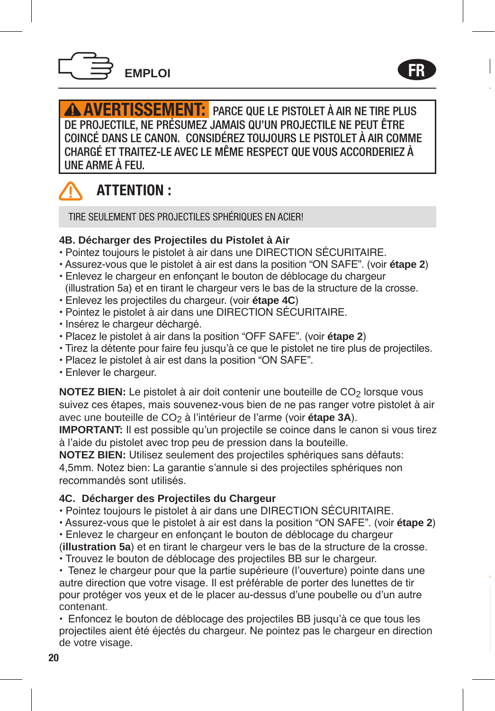

**AVERTISSEMENT:** PARCE QUE LE PISTOLET À AIR NE TIRE PLUS DE PROJECTILE, NE PRÉSUMEZ JAMAIS QU'UN PROJECTILE NE PEUT ÊTRE COINCÉ DANS LE CANON. CONSIDÉREZ TOUJOURS LE PISTOLET À AIR COMME CHARGÉ ET TRAITEZ-LE AVEC LE MÊME RESPECT QUE VOUS ACCORDERIEZ À UNE ARME À FEU.

FR



## ATTENTION :

TIRE SEULEMENT DES PROJECTILES SPHÉRIQUES EN ACIER!

#### **4B. Décharger des Projectiles du Pistolet à Air**

- Pointez toujours le pistolet à air dans une DIRECTION SÉCURITAIRE.
- Assurez-vous que le pistolet à air est dans la position "ON SAFE". (voir **étape 2**)
- Enlevez le chargeur en enfonçant le bouton de déblocage du chargeur (illustration 5a) et en tirant le chargeur vers le bas de la structure de la crosse.
- Enlevez les projectiles du chargeur. (voir **étape 4C**)
- Pointez le pistolet à air dans une DIRECTION SÉCURITAIRE.
- Insérez le chargeur déchargé.
- Placez le pistolet à air dans la position "OFF SAFE". (voir **étape 2**)
- Tirez la détente pour faire feu jusqu'à ce que le pistolet ne tire plus de projectiles.
- Placez le pistolet à air est dans la position "ON SAFE".
- Enlever le chargeur.

**NOTEZ BIEN:** Le pistolet à air doit contenir une bouteille de CO<sub>2</sub> lorsque vous suivez ces étapes, mais souvenez-vous bien de ne pas ranger votre pistolet à air avec une bouteille de CO2 à l'intérieur de l'arme (voir **étape 3A**).

**IMPORTANT:** Il est possible qu'un projectile se coince dans le canon si vous tirez à l'aide du pistolet avec trop peu de pression dans la bouteille.

**NOTEZ BIEN:** Utilisez seulement des projectiles sphériques sans défauts: 4,5mm. Notez bien: La garantie s'annule si des projectiles sphériques non recommandés sont utilisés.

## **4C. Décharger des Projectiles du Chargeur**

- Pointez toujours le pistolet à air dans une DIRECTION SÉCURITAIRE.
- Assurez-vous que le pistolet à air est dans la position "ON SAFE". (voir **étape 2**)
- Enlevez le chargeur en enfonçant le bouton de déblocage du chargeur
- (**illustration 5a**) et en tirant le chargeur vers le bas de la structure de la crosse. • Trouvez le bouton de déblocage des projectiles BB sur le chargeur.

• Tenez le chargeur pour que la partie supérieure (l'ouverture) pointe dans une autre direction que votre visage. Il est préférable de porter des lunettes de tir pour protéger vos yeux et de le placer au-dessus d'une poubelle ou d'un autre contenant.

• Enfoncez le bouton de déblocage des projectiles BB jusqu'à ce que tous les projectiles aient été éjectés du chargeur. Ne pointez pas le chargeur en direction de votre visage.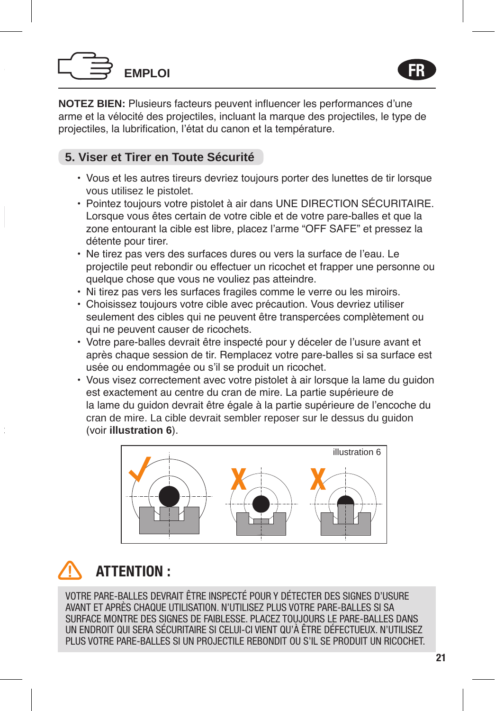# **EMPLOI**

**NOTEZ BIEN:** Plusieurs facteurs peuvent influencer les performances d'une arme et la vélocité des projectiles, incluant la marque des projectiles, le type de projectiles, la lubrification, l'état du canon et la température.

## **5. Viser et Tirer en Toute Sécurité**

- Vous et les autres tireurs devriez toujours porter des lunettes de tir lorsque vous utilisez le pistolet.
- Pointez toujours votre pistolet à air dans UNE DIRECTION SÉCURITAIRE. Lorsque vous êtes certain de votre cible et de votre pare-balles et que la zone entourant la cible est libre, placez l'arme "OFF SAFE" et pressez la détente pour tirer.
- Ne tirez pas vers des surfaces dures ou vers la surface de l'eau. Le projectile peut rebondir ou effectuer un ricochet et frapper une personne ou quelque chose que vous ne vouliez pas atteindre.
- Ni tirez pas vers les surfaces fragiles comme le verre ou les miroirs.
- Choisissez toujours votre cible avec précaution. Vous devriez utiliser seulement des cibles qui ne peuvent être transpercées complètement ou qui ne peuvent causer de ricochets.
- Votre pare-balles devrait être inspecté pour y déceler de l'usure avant et après chaque session de tir. Remplacez votre pare-balles si sa surface est usée ou endommagée ou s'il se produit un ricochet.
- Vous visez correctement avec votre pistolet à air lorsque la lame du quidon est exactement au centre du cran de mire. La partie supérieure de la lame du guidon devrait être égale à la partie supérieure de l'encoche du cran de mire. La cible devrait sembler reposer sur le dessus du guidon (voir **illustration 6**).



## ATTENTION :

VOTRE PARE-BALLES DEVRAIT ÊTRE INSPECTÉ POUR Y DÉTECTER DES SIGNES D'USURE AVANT ET APRÈS CHAQUE UTILISATION. N'UTILISEZ PLUS VOTRE PARE-BALLES SI SA SURFACE MONTRE DES SIGNES DE FAIBLESSE. PLACEZ TOUJOURS LE PARE-BALLES DANS UN ENDROIT QUI SERA SÉCURITAIRE SI CELUI-CI VIENT QU'À ÊTRE DÉFECTUEUX. N'UTILISEZ PLUS VOTRE PARE-BALLES SI UN PROJECTILE REBONDIT OU S'IL SE PRODUIT UN RICOCHET.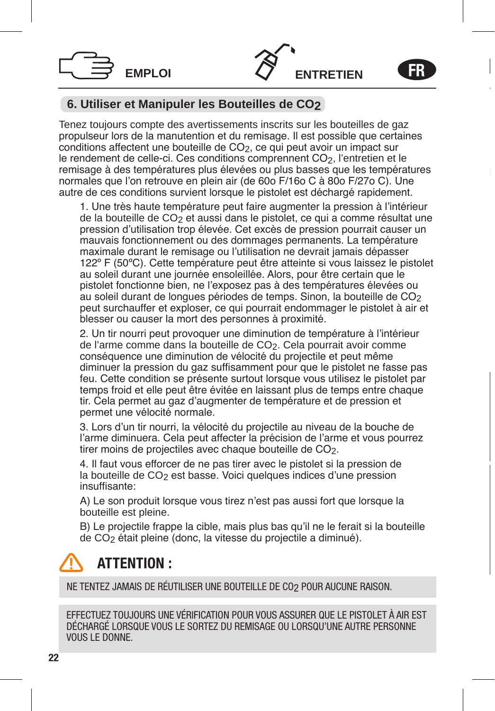



FR

## **6. Utiliser et Manipuler les Bouteilles de CO2**

Tenez toujours compte des avertissements inscrits sur les bouteilles de gaz propulseur lors de la manutention et du remisage. Il est possible que certaines  $\frac{1}{2}$ conditions affectent une bouteille de CO<sub>2</sub>, ce qui peut avoir un impact sur le rendement de celle-ci. Ces conditions comprennent CO<sub>2</sub>, l'entretien et le remisage à des températures plus élevées ou plus basses que les températures normales que l'on retrouve en plein air (de 60o F/16o C à 80o F/27o C). Une autre de ces conditions survient lorsque le pistolet est déchargé rapidement.

1. Une très haute température peut faire augmenter la pression à l'intérieur de la bouteille de CO<sub>2</sub> et aussi dans le pistolet, ce qui a comme résultat une pression d'utilisation trop élevée. Cet excès de pression pourrait causer un mauvais fonctionnement ou des dommages permanents. La température maximale durant le remisage ou l'utilisation ne devrait jamais dépasser 122º F (50ºC). Cette température peut être atteinte si vous laissez le pistolet au soleil durant une journée ensoleillée. Alors, pour être certain que le pistolet fonctionne bien, ne l'exposez pas à des températures élevées ou au soleil durant de longues périodes de temps. Sinon, la bouteille de CO<sub>2</sub> peut surchauffer et exploser, ce qui pourrait endommager le pistolet à air et blesser ou causer la mort des personnes à proximité.

2. Un tir nourri peut provoquer une diminution de température à l'intérieur de l'arme comme dans la bouteille de CO2. Cela pourrait avoir comme conséquence une diminution de vélocité du projectile et peut même diminuer la pression du gaz suffisamment pour que le pistolet ne fasse pas feu. Cette condition se présente surtout lorsque vous utilisez le pistolet par temps froid et elle peut être évitée en laissant plus de temps entre chaque tir. Cela permet au gaz d'augmenter de température et de pression et permet une vélocité normale.

3. Lors d'un tir nourri, la vélocité du projectile au niveau de la bouche de l'arme diminuera. Cela peut affecter la précision de l'arme et vous pourrez tirer moins de projectiles avec chaque bouteille de CO<sub>2</sub>.

4. Il faut vous efforcer de ne pas tirer avec le pistolet si la pression de la bouteille de CO<sub>2</sub> est basse. Voici quelques indices d'une pression insuffisante:

A) Le son produit lorsque vous tirez n'est pas aussi fort que lorsque la bouteille est pleine.

B) Le projectile frappe la cible, mais plus bas qu'il ne le ferait si la bouteille de CO2 était pleine (donc, la vitesse du projectile a diminué).

## ATTENTION :

NE TENTEZ JAMAIS DE RÉUTILISER UNE BOUTEILLE DE CO2 POUR AUCUNE RAISON.

EFFECTUEZ TOUJOURS UNE VÉRIFICATION POUR VOUS ASSURER QUE LE PISTOLET À AIR EST DÉCHARGÉ LORSQUE VOUS LE SORTEZ DU REMISAGE OU LORSQU'UNE AUTRE PERSONNE VOUS LE DONNE.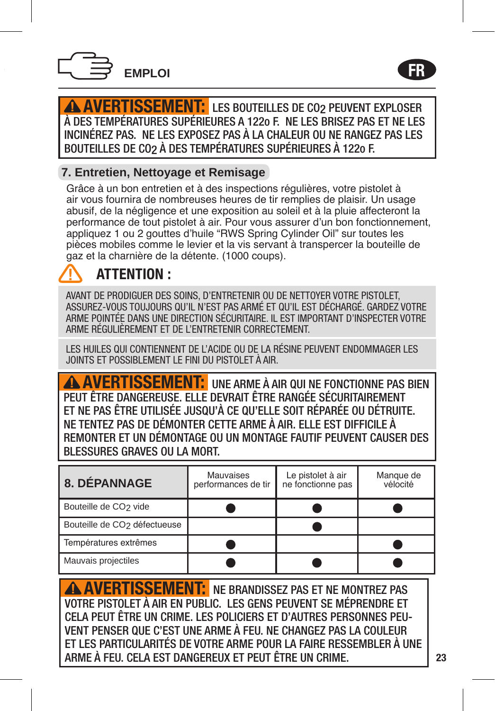

**AVERTISSEMENT:** LES BOUTEILLES DE CO2 PEUVENT EXPLOSER À DES TEMPÉRATURES SUPÉRIEURES A 122o F. NE LES BRISEZ PAS ET NE LES INCINÉREZ PAS. NE LES EXPOSEZ PAS À LA CHALEUR OU NE RANGEZ PAS LES BOUTEILLES DE CO2 À DES TEMPÉRATURES SUPÉRIEURES À 122o F.

## **7. Entretien, Nettoyage et Remisage**

Grâce à un bon entretien et à des inspections régulières, votre pistolet à air vous fournira de nombreuses heures de tir remplies de plaisir. Un usage abusif, de la négligence et une exposition au soleil et à la pluie affecteront la performance de tout pistolet à air. Pour vous assurer d'un bon fonctionnement, appliquez 1 ou 2 gouttes d'huile "RWS Spring Cylinder Oil" sur toutes les pièces mobiles comme le levier et la vis servant à transpercer la bouteille de gaz et la charnière de la détente. (1000 coups).

## ATTENTION :

AVANT DE PRODIGUER DES SOINS, D'ENTRETENIR OU DE NETTOYER VOTRE PISTOLET, ASSUREZ-VOUS TOUJOURS QU'IL N'EST PAS ARMÉ ET QU'IL EST DÉCHARGÉ. GARDEZ VOTRE ARME POINTÉE DANS UNE DIRECTION SÉCURITAIRE. IL EST IMPORTANT D'INSPECTER VOTRE ARME RÉGULIÈREMENT ET DE L'ENTRETENIR CORRECTEMENT.

LES HUILES QUI CONTIENNENT DE L'ACIDE OU DE LA RÉSINE PEUVENT ENDOMMAGER LES JOINTS ET POSSIBLEMENT LE FINI DU PISTOLET À AIR.

AVERTISSEMENT: UNE ARME À AIR QUI NE FONCTIONNE PAS BIEN PEUT ÊTRE DANGEREUSE. ELLE DEVRAIT ÊTRE RANGÉE SÉCURITAIREMENT ET NE PAS ÊTRE UTILISÉE JUSQU'À CE QU'ELLE SOIT RÉPARÉE OU DÉTRUITE. NE TENTEZ PAS DE DÉMONTER CETTE ARME À AIR. ELLE EST DIFFICILE À REMONTER ET UN DÉMONTAGE OU UN MONTAGE FAUTIF PEUVENT CAUSER DES BLESSURES GRAVES OU LA MORT.

| 8. DÉPANNAGE                             | Mauvaises<br>performances de tir | Le pistolet à air<br>ne fonctionne pas | Manque de<br>vélocité |
|------------------------------------------|----------------------------------|----------------------------------------|-----------------------|
| Bouteille de CO <sub>2</sub> vide        |                                  |                                        |                       |
| Bouteille de CO <sub>2</sub> défectueuse |                                  |                                        |                       |
| Températures extrêmes                    |                                  |                                        |                       |
| Mauvais projectiles                      |                                  |                                        |                       |

**AVERTISSEMENT:** NE BRANDISSEZ PAS ET NE MONTREZ PAS VOTRE PISTOLET À AIR EN PUBLIC. LES GENS PEUVENT SE MÉPRENDRE ET CELA PEUT ÊTRE UN CRIME. LES POLICIERS ET D'AUTRES PERSONNES PEU-VENT PENSER QUE C'EST UNE ARME À FEU. NE CHANGEZ PAS LA COULEUR ET LES PARTICULARITÉS DE VOTRE ARME POUR LA FAIRE RESSEMBLER À UNE ARME À FEU. CELA EST DANGEREUX ET PEUT ÊTRE UN CRIME.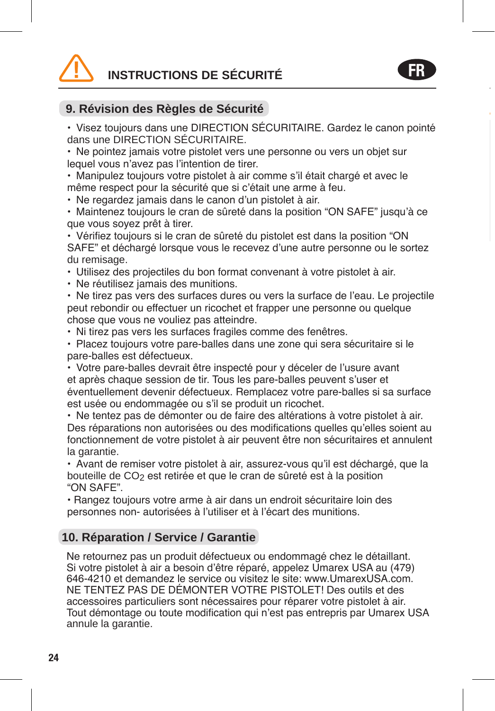# **INSTRUCTIONS DE SÉCURITÉ**



• Visez toujours dans une DIRECTION SÉCURITAIRE. Gardez le canon pointé dans une DIRECTION SÉCURITAIRE.

FR

• Ne pointez jamais votre pistolet vers une personne ou vers un objet sur lequel vous n'avez pas l'intention de tirer.

• Manipulez toujours votre pistolet à air comme s'il était chargé et avec le même respect pour la sécurité que si c'était une arme à feu.

• Ne regardez jamais dans le canon d'un pistolet à air.

• Maintenez toujours le cran de sûreté dans la position "ON SAFE" jusqu'à ce que vous soyez prêt à tirer.

• Vérifiez toujours si le cran de sûreté du pistolet est dans la position "ON SAFE" et déchargé lorsque vous le recevez d'une autre personne ou le sortez du remisage.

• Utilisez des projectiles du bon format convenant à votre pistolet à air.

• Ne réutilisez jamais des munitions.

• Ne tirez pas vers des surfaces dures ou vers la surface de l'eau. Le projectile peut rebondir ou effectuer un ricochet et frapper une personne ou quelque chose que vous ne vouliez pas atteindre.

• Ni tirez pas vers les surfaces fragiles comme des fenêtres.

• Placez toujours votre pare-balles dans une zone qui sera sécuritaire si le pare-balles est défectueux.

• Votre pare-balles devrait être inspecté pour y déceler de l'usure avant et après chaque session de tir. Tous les pare-balles peuvent s'user et éventuellement devenir défectueux. Remplacez votre pare-balles si sa surface est usée ou endommagée ou s'il se produit un ricochet.

• Ne tentez pas de démonter ou de faire des altérations à votre pistolet à air. Des réparations non autorisées ou des modifications quelles qu'elles soient au fonctionnement de votre pistolet à air peuvent être non sécuritaires et annulent la garantie.

• Avant de remiser votre pistolet à air, assurez-vous qu'il est déchargé, que la bouteille de CO<sub>2</sub> est retirée et que le cran de sûreté est à la position "ON SAFE".

• Rangez toujours votre arme à air dans un endroit sécuritaire loin des personnes non- autorisées à l'utiliser et à l'écart des munitions.

## **10. Réparation / Service / Garantie**

Ne retournez pas un produit défectueux ou endommagé chez le détaillant. Si votre pistolet à air a besoin d'être réparé, appelez Umarex USA au (479) 646-4210 et demandez le service ou visitez le site: www.UmarexUSA.com. NE TENTEZ PAS DE DÉMONTER VOTRE PISTOLET! Des outils et des accessoires particuliers sont nécessaires pour réparer votre pistolet à air. Tout démontage ou toute modification qui n'est pas entrepris par Umarex USA annule la garantie.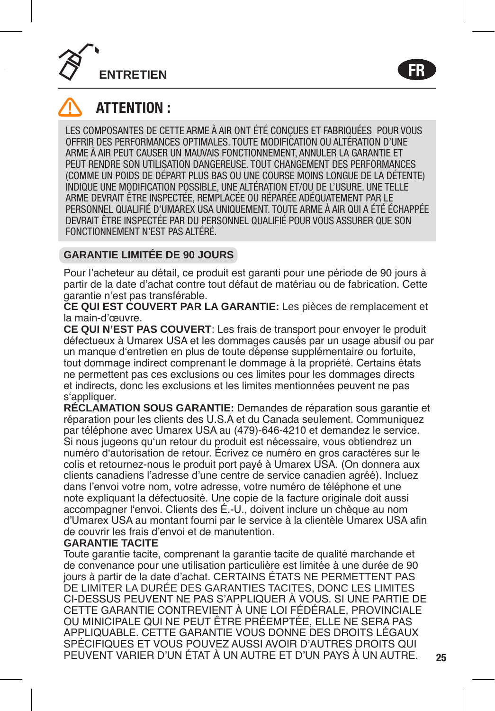



## ATTENTION :

LES COMPOSANTES DE CETTE ARME À AIR ONT ÉTÉ CONÇUES ET FABRIQUÉES POUR VOUS OFFRIR DES PERFORMANCES OPTIMALES. TOUTE MODIFICATION OU ALTÉRATION D'UNE ARME À AIR PEUT CAUSER UN MAUVAIS FONCTIONNEMENT, ANNULER LA GARANTIE ET PEUT RENDRE SON UTILISATION DANGEREUSE. TOUT CHANGEMENT DES PERFORMANCES (COMME UN POIDS DE DÉPART PLUS BAS OU UNE COURSE MOINS LONGUE DE LA DÉTENTE) INDIQUE UNE MODIFICATION POSSIBLE, UNE ALTÉRATION ET/OU DE L'USURE. UNE TELLE ARME DEVRAIT ÊTRE INSPECTÉE, REMPLACÉE OU RÉPARÉE ADÉQUATEMENT PAR LE PERSONNEL QUALIFIÉ D'UMAREX USA UNIQUEMENT. TOUTE ARME À AIR QUI A ÉTÉ ÉCHAPPÉE DEVRAIT ÊTRE INSPECTÉE PAR DU PERSONNEL QUALIFIÉ POUR VOUS ASSURER QUE SON FONCTIONNEMENT N'EST PAS ALTÉRÉ.

## **GARANTIE LIMITÉE DE 90 JOURS**

Pour l'acheteur au détail, ce produit est garanti pour une période de 90 jours à partir de la date d'achat contre tout défaut de matériau ou de fabrication. Cette garantie n'est pas transférable.

**CE QUI EST COUVERT PAR LA GARANTIE:** Les pièces de remplacement et la main-d'œuvre.

**CE QUI N'EST PAS COUVERT**: Les frais de transport pour envoyer le produit défectueux à Umarex USA et les dommages causés par un usage abusif ou par un manque d'entretien en plus de toute dépense supplémentaire ou fortuite, tout dommage indirect comprenant le dommage à la propriété. Certains états ne permettent pas ces exclusions ou ces limites pour les dommages directs et indirects, donc les exclusions et les limites mentionnées peuvent ne pas s'appliquer.

**RÉCLAMATION SOUS GARANTIE:** Demandes de réparation sous garantie et réparation pour les clients des U.S.A et du Canada seulement. Communiquez par téléphone avec Umarex USA au (479)-646-4210 et demandez le service. Si nous jugeons qu'un retour du produit est nécessaire, vous obtiendrez un numéro d'autorisation de retour. Écrivez ce numéro en gros caractères sur le colis et retournez-nous le produit port payé à Umarex USA. (On donnera aux clients canadiens l'adresse d'une centre de service canadien agréé). Incluez dans l'envoi votre nom, votre adresse, votre numéro de téléphone et une note expliquant la défectuosité. Une copie de la facture originale doit aussi accompagner l'envoi. Clients des É.-U., doivent inclure un chèque au nom d'Umarex USA au montant fourni par le service à la clientèle Umarex USA afin de couvrir les frais d'envoi et de manutention.

#### **GARANTIE TACITE**

Toute garantie tacite, comprenant la garantie tacite de qualité marchande et de convenance pour une utilisation particulière est limitée à une durée de 90 jours à partir de la date d'achat. CERTAINS ÉTATS NE PERMETTENT PAS DE LIMITER LA DURÉE DES GARANTIES TACITES, DONC LES LIMITES CI-DESSUS PEUVENT NE PAS S'APPLIQUER À VOUS. SI UNE PARTIE DE CETTE GARANTIE CONTREVIENT À UNE LOI FÉDÉRALE, PROVINCIALE OU MINICIPALE QUI NE PEUT ÊTRE PRÉEMPTÉE, ELLE NE SERA PAS APPLIQUABLE. CETTE GARANTIE VOUS DONNE DES DROITS LÉGAUX SPÉCIFIQUES ET VOUS POUVEZ AUSSI AVOIR D'AUTRES DROITS QUI PEUVENT VARIER D'UN ÉTAT À UN AUTRE ET D'UN PAYS À UN AUTRE.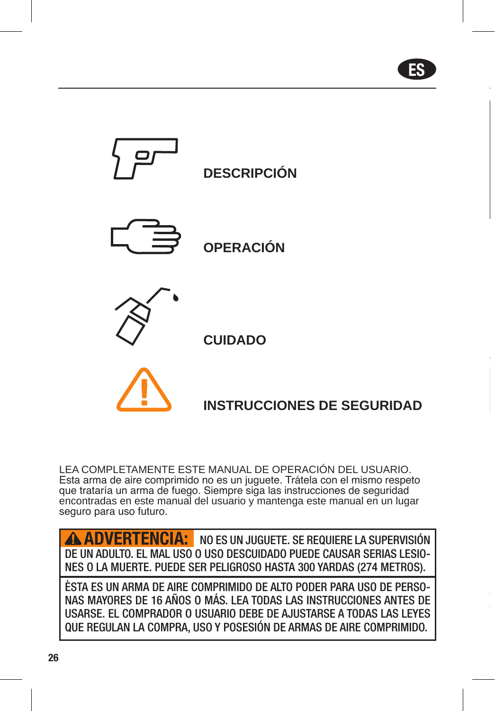ES



LEA COMPLETAMENTE ESTE MANUAL DE OPERACIÓN DEL USUARIO. Esta arma de aire comprimido no es un juguete. Trátela con el mismo respeto que trataría un arma de fuego. Siempre siga las instrucciones de seguridad encontradas en este manual del usuario y mantenga este manual en un lugar seguro para uso futuro.

NO ES UN JUGUETE. SE REQUIERE LA SUPERVISIÓN DE UN ADULTO. EL MAL USO O USO DESCUIDADO PUEDE CAUSAR SERIAS LESIO-NES O LA MUERTE. PUEDE SER PELIGROSO HASTA 300 YARDAS (274 METROS). ADVERTENCIA:

ÈSTA ES UN ARMA DE AIRE COMPRIMIDO DE ALTO PODER PARA USO DE PERSO-NAS MAYORES DE 16 AÑOS O MÁS. LEA TODAS LAS INSTRUCCIONES ANTES DE USARSE. EL COMPRADOR O USUARIO DEBE DE AJUSTARSE A TODAS LAS LEYES QUE REGULAN LA COMPRA, USO Y POSESIÓN DE ARMAS DE AIRE COMPRIMIDO.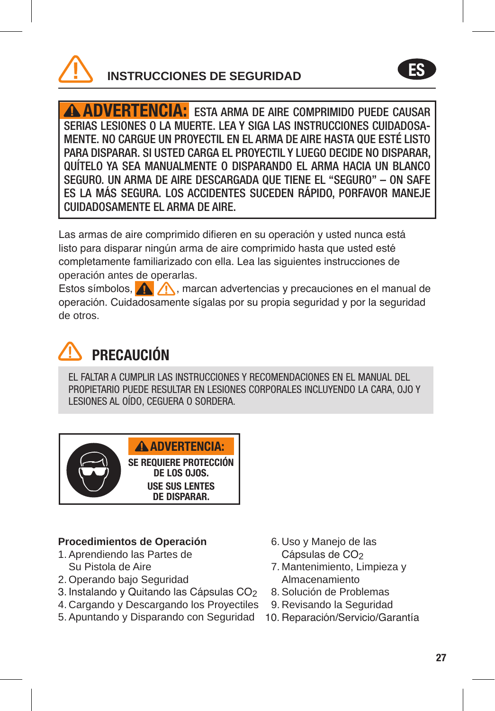

ADVERTENCIA: ESTA ARMA DE AIRE COMPRIMIDO PUEDE CAUSAR SERIAS LESIONES O LA MUERTE. LEA Y SIGA LAS INSTRUCCIONES CUIDADOSA-MENTE. NO CARGUE UN PROYECTIL EN EL ARMA DE AIRE HASTA QUE ESTÉ LISTO PARA DISPARAR. SI USTED CARGA EL PROYECTIL Y LUEGO DECIDE NO DISPARAR, QUÍTELO YA SEA MANUALMENTE O DISPARANDO EL ARMA HACIA UN BLANCO SEGURO. UN ARMA DE AIRE DESCARGADA QUE TIENE EL "SEGURO" – ON SAFE ES LA MÁS SEGURA. LOS ACCIDENTES SUCEDEN RÁPIDO, PORFAVOR MANEJE CUIDADOSAMENTE EL ARMA DE AIRE.

Las armas de aire comprimido difieren en su operación y usted nunca está listo para disparar ningún arma de aire comprimido hasta que usted esté completamente familiarizado con ella. Lea las siguientes instrucciones de operación antes de operarlas.

Estos símbolos,  $\bigwedge$ , marcan advertencias y precauciones en el manual de operación. Cuidadosamente sígalas por su propia seguridad y por la seguridad de otros.

# PRECAUCIÓN

EL FALTAR A CUMPLIR LAS INSTRUCCIONES Y RECOMENDACIONES EN EL MANUAL DEL PROPIETARIO PUEDE RESULTAR EN LESIONES CORPORALES INCLUYENDO LA CARA, OJO Y LESIONES AL OÍDO, CEGUERA O SORDERA.



## **Procedimientos de Operación**

- 1. Aprendiendo las Partes de Su Pistola de Aire
- 2. Operando bajo Seguridad
- 3. Instalando y Quitando las Cápsulas CO<sub>2</sub>
- 4. Cargando y Descargando los Proyectiles
- 5. Apuntando y Disparando con Seguridad 10. Reparación/Servicio/Garantía
- 6. Uso y Manejo de las Cápsulas de CO<sub>2</sub>
- 7. Mantenimiento, Limpieza y Almacenamiento
- 8. Solución de Problemas
- 9. Revisando la Seguridad
- 

ES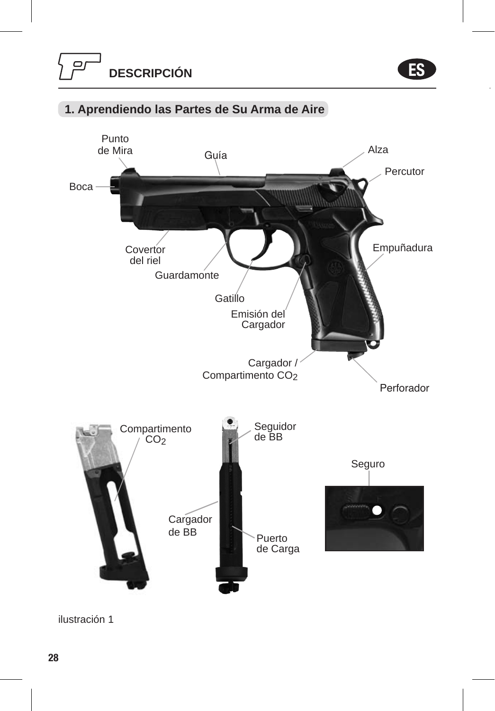ES



## **1. Aprendiendo las Partes de Su Arma de Aire**

ilustración 1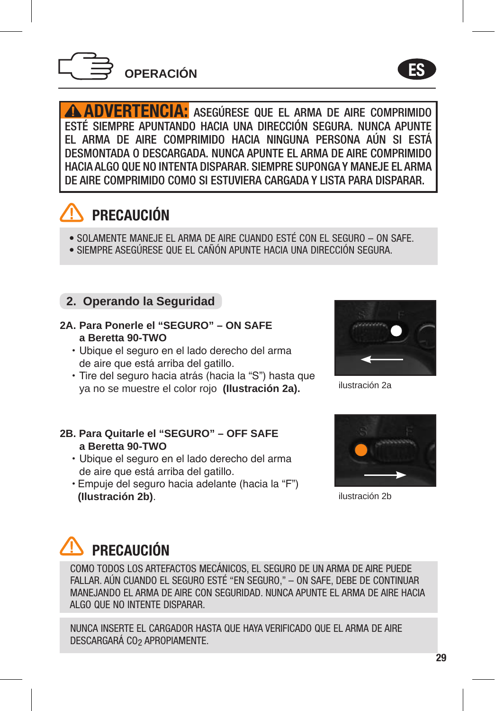

ES

ADVERTENCIA: ASEGÚRESE QUE EL ARMA DE AIRE COMPRIMIDO ESTÉ SIEMPRE APUNTANDO HACIA UNA DIRECCIÓN SEGURA. NUNCA APUNTE EL ARMA DE AIRE COMPRIMIDO HACIA NINGUNA PERSONA AÚN SI ESTÁ DESMONTADA O DESCARGADA. NUNCA APUNTE EL ARMA DE AIRE COMPRIMIDO HACIA ALGO QUE NO INTENTA DISPARAR. SIEMPRE SUPONGA Y MANEJE EL ARMA DE AIRE COMPRIMIDO COMO SI ESTUVIERA CARGADA Y LISTA PARA DISPARAR.

## PRECAUCIÓN

- SOLAMENTE MANEJE EL ARMA DE AIRE CUANDO ESTÉ CON EL SEGURO ON SAFE.
- SIEMPRE ASEGÚRESE QUE EL CAÑÓN APUNTE HACIA UNA DIRECCIÓN SEGURA.

## **2. Operando la Seguridad**

- **2A. Para Ponerle el "SEGURO" ON SAFE a Beretta 90-TWO**
	- Ubique el seguro en el lado derecho del arma de aire que está arriba del gatillo.
	- Tire del seguro hacia atrás (hacia la "S") hasta que ya no se muestre el color rojo **(Ilustración 2a).**

# ilustración 2a

- **2B. Para Quitarle el "SEGURO" OFF SAFE a Beretta 90-TWO**
	- Ubique el seguro en el lado derecho del arma de aire que está arriba del gatillo.
	- Empuje del seguro hacia adelante (hacia la "F") **(Ilustración 2b)**.



ilustración 2b

# **PRECAUCIÓN**

COMO TODOS LOS ARTEFACTOS MECÁNICOS, EL SEGURO DE UN ARMA DE AIRE PUEDE FALLAR. AÚN CUANDO EL SEGURO ESTÉ "EN SEGURO," – ON SAFE, DEBE DE CONTINUAR MANEJANDO EL ARMA DE AIRE CON SEGURIDAD. NUNCA APUNTE EL ARMA DE AIRE HACIA ALGO QUE NO INTENTE DISPARAR.

NUNCA INSERTE EL CARGADOR HASTA QUE HAYA VERIFICADO QUE EL ARMA DE AIRE DESCARGARÁ CO<sub>2</sub> APROPIAMENTE.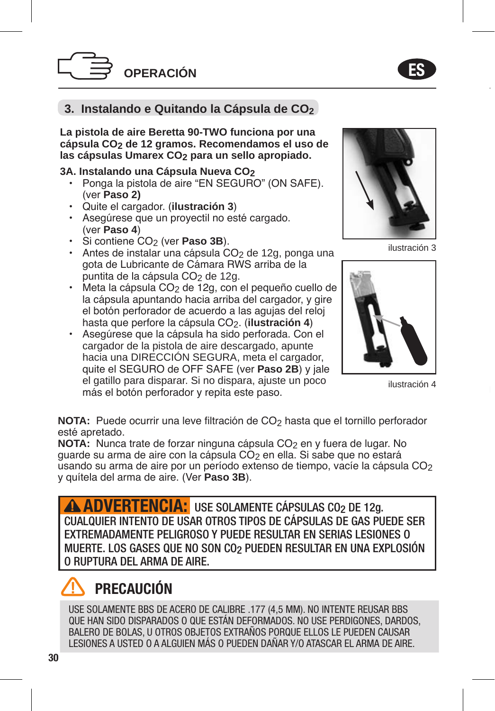

## **3. Instalando e Quitando la Cápsula de CO2**

**La pistola de aire Beretta 90-TWO funciona por una cápsula CO2 de 12 gramos. Recomendamos el uso de las cápsulas Umarex CO2 para un sello apropiado.**

#### **3A. Instalando una Cápsula Nueva CO2**

- Ponga la pistola de aire "EN SEGURO" (ON SAFE). (ver **Paso 2)**
- Quite el cargador. (**ilustración 3**)
- Asegúrese que un proyectil no esté cargado. (ver **Paso 4**)
- Si contiene CO2 (ver **Paso 3B**).
- Antes de instalar una cápsula CO<sub>2</sub> de 12g, ponga una gota de Lubricante de Cámara RWS arriba de la puntita de la cápsula CO<sub>2</sub> de 12g.
- Meta la cápsula CO2 de 12g, con el pequeño cuello de la cápsula apuntando hacia arriba del cargador, y gire el botón perforador de acuerdo a las agujas del reloj hasta que perfore la cápsula CO2. (**ilustración 4**)
- Asegúrese que la cápsula ha sido perforada. Con el cargador de la pistola de aire descargado, apunte hacia una DIRECCIÓN SEGURA, meta el cargador, quite el SEGURO de OFF SAFE (ver **Paso 2B**) y jale el gatillo para disparar. Si no dispara, ajuste un poco más el botón perforador y repita este paso.



ilustración 3

ES



ilustración 4

**NOTA:** Puede ocurrir una leve filtración de CO<sub>2</sub> hasta que el tornillo perforador esté apretado.

**NOTA:** Nunca trate de forzar ninguna cápsula CO<sub>2</sub> en y fuera de lugar. No quarde su arma de aire con la cápsula  $\overline{CO}_2$  en ella. Si sabe que no estará usando su arma de aire por un período extenso de tiempo, vacíe la cápsula CO<sub>2</sub> y quítela del arma de aire. (Ver **Paso 3B**).

**ADVERTENCIA:** USE SOLAMENTE CÁPSULAS CO<sub>2</sub> DE 12g. CUALQUIER INTENTO DE USAR OTROS TIPOS DE CÁPSULAS DE GAS PUEDE SER EXTREMADAMENTE PELIGROSO Y PUEDE RESULTAR EN SERIAS LESIONES O MUERTE. LOS GASES QUE NO SON CO2 PUEDEN RESULTAR EN UNA EXPLOSIÓN O RUPTURA DEL ARMA DE AIRE.

## PRECAUCIÓN

USE SOLAMENTE BBS DE ACERO DE CALIBRE .177 (4,5 MM). NO INTENTE REUSAR BBS QUE HAN SIDO DISPARADOS O QUE ESTÁN DEFORMADOS. NO USE PERDIGONES, DARDOS, BALERO DE BOLAS, U OTROS OBJETOS EXTRAÑOS PORQUE ELLOS LE PUEDEN CAUSAR LESIONES A USTED O A ALGUIEN MÁS O PUEDEN DAÑAR Y/O ATASCAR EL ARMA DE AIRE.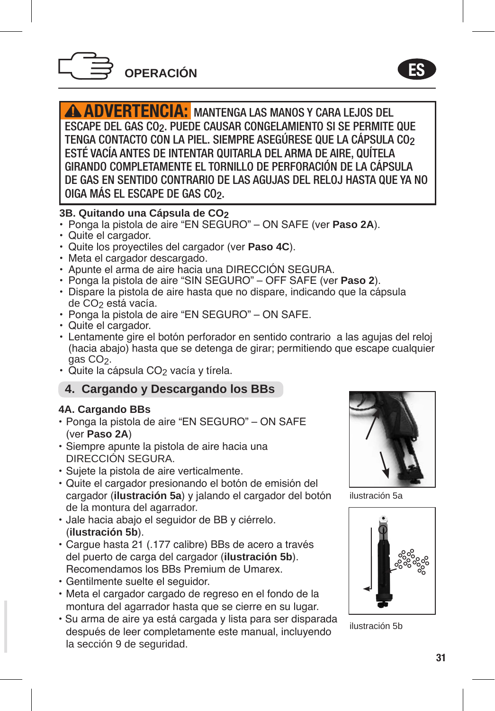

ADVERTENCIA: MANTENGA LAS MANOS Y CARA LEJOS DEL ESCAPE DEL GAS CO2. PUEDE CAUSAR CONGELAMIENTO SI SE PERMITE QUE TENGA CONTACTO CON LA PIEL. SIEMPRE ASEGÚRESE QUE LA CÁPSULA CO2 ESTÉ VACÍA ANTES DE INTENTAR QUITARLA DEL ARMA DE AIRE, QUÍTELA GIRANDO COMPLETAMENTE EL TORNILLO DE PERFORACIÓN DE LA CÁPSULA DE GAS EN SENTIDO CONTRARIO DE LAS AGUJAS DEL RELOJ HASTA QUE YA NO OIGA MÁS EL ESCAPE DE GAS CO2.

#### **3B. Quitando una Cápsula de CO2**

- Ponga la pistola de aire "EN SEGURO" ON SAFE (ver **Paso 2A**).
- Quite el cargador.
- Quite los proyectiles del cargador (ver **Paso 4C**).
- Meta el cargador descargado.
- Apunte el arma de aire hacia una DIRECCIÓN SEGURA.
- Ponga la pistola de aire "SIN SEGURO" OFF SAFE (ver **Paso 2**).
- Dispare la pistola de aire hasta que no dispare, indicando que la cápsula de CO2 está vacía.
- Ponga la pistola de aire "EN SEGURO" ON SAFE.
- Quite el cargador.
- Lentamente gire el botón perforador en sentido contrario a las agujas del reloj (hacia abajo) hasta que se detenga de girar; permitiendo que escape cualquier gas CO<sub>2</sub>.
- Quite la cápsula CO<sub>2</sub> vacía y tírela.

## **4. Cargando y Descargando los BBs**

#### **4A. Cargando BBs**

- Ponga la pistola de aire "EN SEGURO" ON SAFE (ver **Paso 2A**)
- Siempre apunte la pistola de aire hacia una DIRECCIÓN SEGURA.
- Sujete la pistola de aire verticalmente.
- Quite el cargador presionando el botón de emisión del cargador (**ilustración 5a**) y jalando el cargador del botón de la montura del agarrador.
- Jale hacia abajo el seguidor de BB y ciérrelo. (**ilustración 5b**).
- Cargue hasta 21 (.177 calibre) BBs de acero a través del puerto de carga del cargador (**ilustración 5b**). Recomendamos los BBs Premium de Umarex.
- Gentilmente suelte el seguidor.
- Meta el cargador cargado de regreso en el fondo de la montura del agarrador hasta que se cierre en su lugar.
- Su arma de aire ya está cargada y lista para ser disparada después de leer completamente este manual, incluyendo la sección 9 de seguridad.



ES

ilustración 5a



ilustración 5b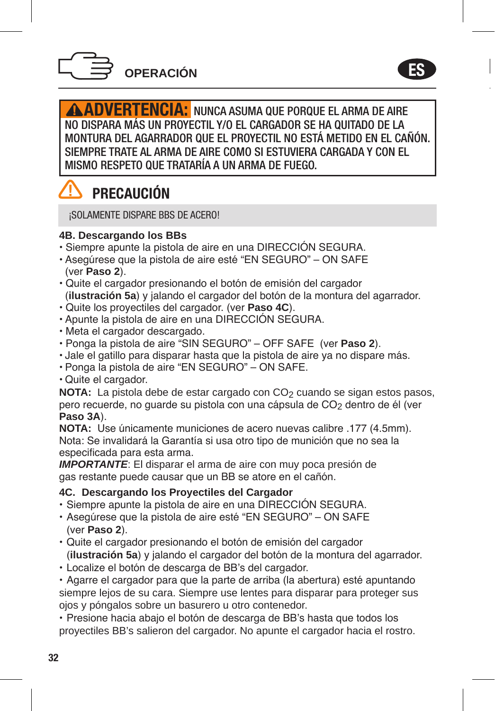

ES

**ADVERTENCIA:** NUNCA ASUMA QUE PORQUE EL ARMA DE AIRE NO DISPARA MÁS UN PROYECTIL Y/O EL CARGADOR SE HA QUITADO DE LA MONTURA DEL AGARRADOR QUE EL PROYECTIL NO ESTÁ METIDO EN EL CAÑÓN. SIEMPRE TRATE AL ARMA DE AIRE COMO SI ESTUVIERA CARGADA Y CON EL MISMO RESPETO QUE TRATARÍA A UN ARMA DE FUEGO.

## **PRECAUCIÓN**

¡SOLAMENTE DISPARE BBS DE ACERO!

## **4B. Descargando los BBs**

- Siempre apunte la pistola de aire en una DIRECCIÓN SEGURA.
- Asegúrese que la pistola de aire esté "EN SEGURO" ON SAFE (ver **Paso 2**).
- Quite el cargador presionando el botón de emisión del cargador (**ilustración 5a**) y jalando el cargador del botón de la montura del agarrador.
- Quite los proyectiles del cargador. (ver **Paso 4C**).
- Apunte la pistola de aire en una DIRECCIÓN SEGURA.
- Meta el cargador descargado.
- Ponga la pistola de aire "SIN SEGURO" OFF SAFE (ver **Paso 2**).
- Jale el gatillo para disparar hasta que la pistola de aire ya no dispare más.
- Ponga la pistola de aire "EN SEGURO" ON SAFE.
- Quite el cargador.

**NOTA:** La pistola debe de estar cargado con CO<sub>2</sub> cuando se sigan estos pasos, pero recuerde, no quarde su pistola con una cápsula de CO<sub>2</sub> dentro de él (ver **Paso 3A**).

**NOTA:** Use únicamente municiones de acero nuevas calibre .177 (4.5mm). Nota: Se invalidará la Garantía si usa otro tipo de munición que no sea la especificada para esta arma.

*IMPORTANTE*: El disparar el arma de aire con muy poca presión de gas restante puede causar que un BB se atore en el cañón.

#### **4C. Descargando los Proyectiles del Cargador**

- Siempre apunte la pistola de aire en una DIRECCIÓN SEGURA.
- Asegúrese que la pistola de aire esté "EN SEGURO" ON SAFE (ver **Paso 2**).
- Quite el cargador presionando el botón de emisión del cargador (**ilustración 5a**) y jalando el cargador del botón de la montura del agarrador.
- Localize el botón de descarga de BB's del cargador.

• Agarre el cargador para que la parte de arriba (la abertura) esté apuntando siempre lejos de su cara. Siempre use lentes para disparar para proteger sus ojos y póngalos sobre un basurero u otro contenedor.

• Presione hacia abajo el botón de descarga de BB's hasta que todos los proyectiles BB's salieron del cargador. No apunte el cargador hacia el rostro.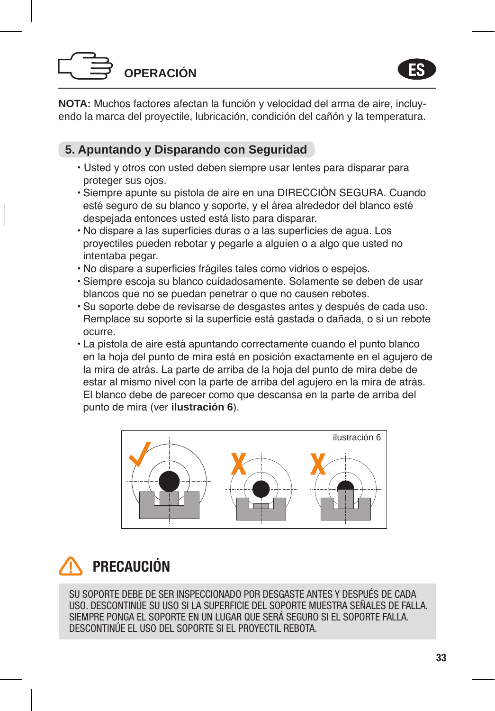



**NOTA:** Muchos factores afectan la función y velocidad del arma de aire, incluyendo la marca del proyectile, lubricación, condición del cañón y la temperatura.

## **5. Apuntando y Disparando con Seguridad**

- Usted y otros con usted deben siempre usar lentes para disparar para proteger sus ojos.
- Siempre apunte su pistola de aire en una DIRECCIÓN SEGURA. Cuando esté seguro de su blanco y soporte, y el área alrededor del blanco esté despejada entonces usted está listo para disparar.
- No dispare a las superficies duras o a las superficies de agua. Los proyectiles pueden rebotar y pegarle a alguien o a algo que usted no intentaba pegar.
- No dispare a superficies frágiles tales como vidrios o espejos.
- Siempre escoja su blanco cuidadosamente. Solamente se deben de usar blancos que no se puedan penetrar o que no causen rebotes.
- Su soporte debe de revisarse de desgastes antes y después de cada uso. Remplace su soporte si la superficie está gastada o dañada, o si un rebote ocurre.
- La pistola de aire está apuntando correctamente cuando el punto blanco en la hoja del punto de mira está en posición exactamente en el agujero de la mira de atrás. La parte de arriba de la hoja del punto de mira debe de estar al mismo nivel con la parte de arriba del agujero en la mira de atrás. El blanco debe de parecer como que descansa en la parte de arriba del punto de mira (ver **ilustración 6**).



## PRECAUCIÓN

SU SOPORTE DEBE DE SER INSPECCIONADO POR DESGASTE ANTES Y DESPUÉS DE CADA USO. DESCONTINÚE SU USO SI LA SUPERFICIE DEL SOPORTE MUESTRA SEÑALES DE FALLA. SIEMPRE PONGA EL SOPORTE EN UN LUGAR QUE SERÁ SEGURO SI EL SOPORTE FALLA. DESCONTINÚE EL USO DEL SOPORTE SI EL PROYECTIL REBOTA.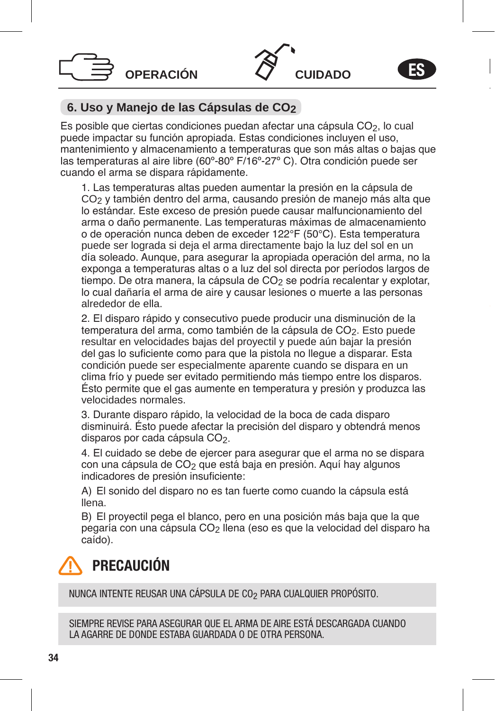



## **6. Uso y Manejo de las Cápsulas de CO2**

Es posible que ciertas condiciones puedan afectar una cápsula CO2, lo cual puede impactar su función apropiada. Estas condiciones incluyen el uso, mantenimiento y almacenamiento a temperaturas que son más altas o bajas que las temperaturas al aire libre (60º-80º F/16º-27º C). Otra condición puede ser cuando el arma se dispara rápidamente.

1. Las temperaturas altas pueden aumentar la presión en la cápsula de CO2 y también dentro del arma, causando presión de manejo más alta que lo estándar. Este exceso de presión puede causar malfuncionamiento del arma o daño permanente. Las temperaturas máximas de almacenamiento o de operación nunca deben de exceder 122°F (50°C). Esta temperatura puede ser lograda si deja el arma directamente bajo la luz del sol en un día soleado. Aunque, para asegurar la apropiada operación del arma, no la exponga a temperaturas altas o a luz del sol directa por períodos largos de tiempo. De otra manera, la cápsula de CO<sub>2</sub> se podría recalentar y explotar, lo cual dañaría el arma de aire y causar lesiones o muerte a las personas alrededor de ella.

2. El disparo rápido y consecutivo puede producir una disminución de la temperatura del arma, como también de la cápsula de CO2. Esto puede resultar en velocidades bajas del proyectil y puede aún bajar la presión del gas lo suficiente como para que la pistola no llegue a disparar. Esta condición puede ser especialmente aparente cuando se dispara en un clima frío y puede ser evitado permitiendo más tiempo entre los disparos. Ésto permite que el gas aumente en temperatura y presión y produzca las velocidades normales.

3. Durante disparo rápido, la velocidad de la boca de cada disparo disminuirá. Ésto puede afectar la precisión del disparo y obtendrá menos disparos por cada cápsula CO<sub>2</sub>.

4. El cuidado se debe de ejercer para asegurar que el arma no se dispara con una cápsula de CO<sub>2</sub> que está baja en presión. Aquí hay algunos indicadores de presión insuficiente:

A) El sonido del disparo no es tan fuerte como cuando la cápsula está llena.

B) El proyectil pega el blanco, pero en una posición más baja que la que pegaría con una cápsula CO2 llena (eso es que la velocidad del disparo ha caído).

## PRECAUCIÓN

NUNCA INTENTE REUSAR UNA CÁPSULA DE CO2 PARA CUALQUIER PROPÓSITO.

SIEMPRE REVISE PARA ASEGURAR QUE EL ARMA DE AIRE ESTÁ DESCARGADA CHANDO LA AGARRE DE DONDE ESTABA GUARDADA O DE OTRA PERSONA.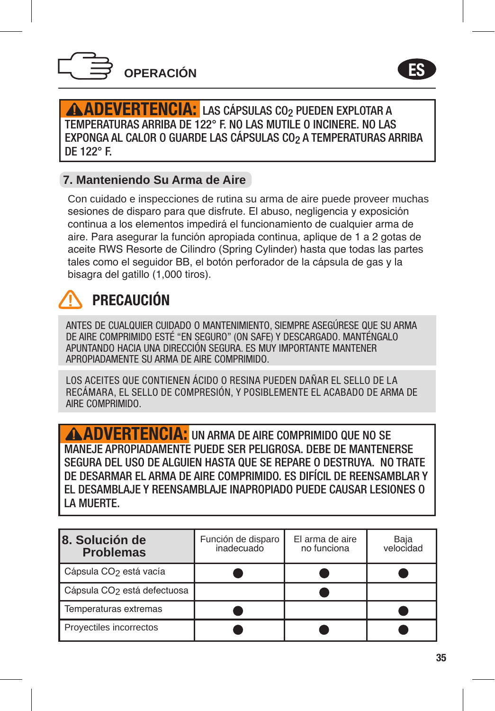



ADEVERTENCIA: LAS CÁPSULAS CO2 PUEDEN EXPLOTAR A TEMPERATURAS ARRIBA DE 122° F. NO LAS MUTILE O INCINERE. NO LAS EXPONGA AL CALOR O GUARDE LAS CÁPSULAS CO2 A TEMPERATURAS ARRIBA DE 122° F.

## **7. Manteniendo Su Arma de Aire**

Con cuidado e inspecciones de rutina su arma de aire puede proveer muchas sesiones de disparo para que disfrute. El abuso, negligencia y exposición continua a los elementos impedirá el funcionamiento de cualquier arma de aire. Para asegurar la función apropiada continua, aplique de 1 a 2 gotas de aceite RWS Resorte de Cilindro (Spring Cylinder) hasta que todas las partes tales como el seguidor BB, el botón perforador de la cápsula de gas y la bisagra del gatillo (1,000 tiros).

## PRECAUCIÓN

ANTES DE CUALQUIER CUIDADO O MANTENIMIENTO, SIEMPRE ASEGÚRESE QUE SU ARMA DE AIRE COMPRIMIDO ESTÉ "EN SEGURO" (ON SAFE) Y DESCARGADO. MANTÉNGALO APUNTANDO HACIA UNA DIRECCIÓN SEGURA. ES MUY IMPORTANTE MANTENER APROPIADAMENTE SU ARMA DE AIRE COMPRIMIDO.

LOS ACEITES QUE CONTIENEN ÁCIDO O RESINA PUEDEN DAÑAR EL SELLO DE LA RECÁMARA, EL SELLO DE COMPRESIÓN, Y POSIBLEMENTE EL ACABADO DE ARMA DE AIRE COMPRIMIDO.

ADVERTENCIA: UN ARMA DE AIRE COMPRIMIDO QUE NO SE MANEJE APROPIADAMENTE PUEDE SER PELIGROSA. DEBE DE MANTENERSE SEGURA DEL USO DE ALGUIEN HASTA QUE SE REPARE O DESTRUYA. NO TRATE DE DESARMAR EL ARMA DE AIRE COMPRIMIDO. ES DIFÍCIL DE REENSAMBLAR Y EL DESAMBLAJE Y REENSAMBLAJE INAPROPIADO PUEDE CAUSAR LESIONES O LA MUERTE.

| 8. Solución de<br><b>Problemas</b>      | Función de disparo<br>inadecuado | El arma de aire<br>no funciona | Baia<br>velocidad |
|-----------------------------------------|----------------------------------|--------------------------------|-------------------|
| Cápsula CO <sub>2</sub> está vacía      |                                  |                                |                   |
| Cápsula CO <sub>2</sub> está defectuosa |                                  |                                |                   |
| Temperaturas extremas                   |                                  |                                |                   |
| Proyectiles incorrectos                 |                                  |                                |                   |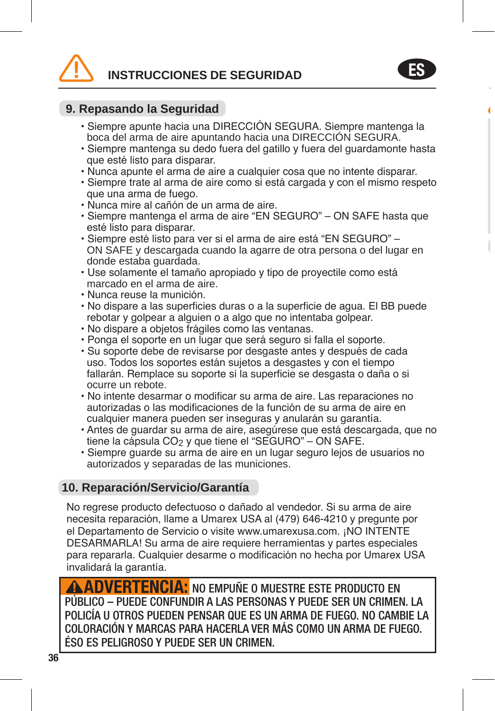**INSTRUCCIONES DE SEGURIDAD**



• Siempre apunte hacia una DIRECCIÓN SEGURA. Siempre mantenga la boca del arma de aire apuntando hacia una DIRECCIÓN SEGURA.

ES

- Siempre mantenga su dedo fuera del gatillo y fuera del guardamonte hasta que esté listo para disparar.
- Nunca apunte el arma de aire a cualquier cosa que no intente disparar.
- Siempre trate al arma de aire como si está cargada y con el mismo respeto que una arma de fuego.
- Nunca mire al cañón de un arma de aire.
- Siempre mantenga el arma de aire "EN SEGURO" ON SAFE hasta que esté listo para disparar.
- Siempre esté listo para ver si el arma de aire está "EN SEGURO" ON SAFE y descargada cuando la agarre de otra persona o del lugar en donde estaba guardada.
- Use solamente el tamaño apropiado y tipo de proyectile como está marcado en el arma de aire.
- Nunca reuse la munición.
- No dispare a las superficies duras o a la superficie de agua. El BB puede rebotar y golpear a alguien o a algo que no intentaba golpear.
- No dispare a objetos frágiles como las ventanas.
- Ponga el soporte en un lugar que será seguro si falla el soporte.
- Su soporte debe de revisarse por desgaste antes y después de cada uso. Todos los soportes están sujetos a desgastes y con el tiempo fallarán. Remplace su soporte si la superficie se desgasta o daña o si ocurre un rebote.
- No intente desarmar o modificar su arma de aire. Las reparaciones no autorizadas o las modificaciones de la función de su arma de aire en cualquier manera pueden ser inseguras y anularán su garantía.
- Antes de guardar su arma de aire, asegúrese que está descargada, que no tiene la cápsula CO<sub>2</sub> y que tiene el "SEGURO" – ON SAFE.
- Siempre guarde su arma de aire en un lugar seguro lejos de usuarios no autorizados y separadas de las municiones.

#### **10. Reparación/Servicio/Garantía**

No regrese producto defectuoso o dañado al vendedor. Si su arma de aire necesita reparación, llame a Umarex USA al (479) 646-4210 y pregunte por el Departamento de Servicio o visite www.umarexusa.com. ¡NO INTENTE DESARMARLA! Su arma de aire requiere herramientas y partes especiales para repararla. Cualquier desarme o modificación no hecha por Umarex USA invalidará la garantía.

**ADVERTENCIA:** NO EMPUÑE O MUESTRE ESTE PRODUCTO EN PÚBLICO – PUEDE CONFUNDIR A LAS PERSONAS Y PUEDE SER UN CRIMEN. LA POLICÍA U OTROS PUEDEN PENSAR QUE ES UN ARMA DE FUEGO. NO CAMBIE LA COLORACIÓN Y MARCAS PARA HACERLA VER MÁS COMO UN ARMA DE FUEGO. ÉSO ES PELIGROSO Y PUEDE SER UN CRIMEN.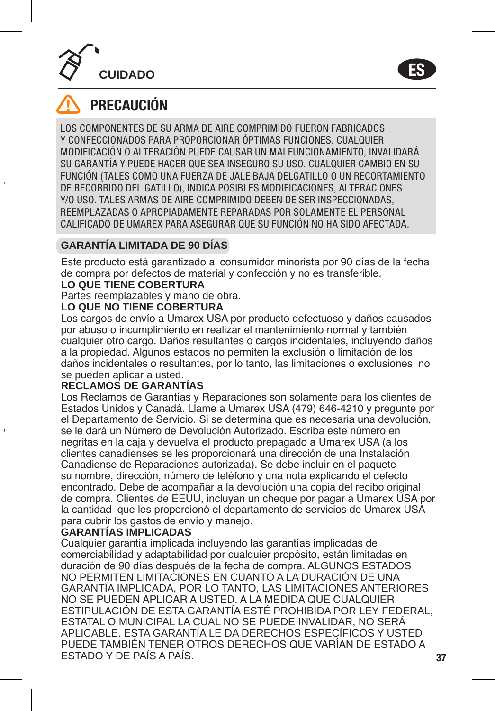



## **PRECAUCIÓN**

 $\ddot{\phantom{a}}$ 

 $\mathcal{A}$ 

LOS COMPONENTES DE SU ARMA DE AIRE COMPRIMIDO FUERON FABRICADOS Y CONFECCIONADOS PARA PROPORCIONAR ÓPTIMAS FUNCIONES. CUALQUIER MODIFICACIÓN O ALTERACIÓN PUEDE CAUSAR UN MALFUNCIONAMIENTO, INVALIDARÁ SU GARANTÍA Y PUEDE HACER QUE SEA INSEGURO SU USO. CUALQUIER CAMBIO EN SU FUNCIÓN (TALES COMO UNA FUERZA DE JALE BAJA DELGATILLO O UN RECORTAMIENTO DE RECORRIDO DEL GATILLO), INDICA POSIBLES MODIFICACIONES, ALTERACIONES Y/O USO. TALES ARMAS DE AIRE COMPRIMIDO DEBEN DE SER INSPECCIONADAS, REEMPLAZADAS O APROPIADAMENTE REPARADAS POR SOLAMENTE EL PERSONAL CALIFICADO DE UMAREX PARA ASEGURAR QUE SU FUNCIÓN NO HA SIDO AFECTADA.

## **GARANTÍA LIMITADA DE 90 DÍAS**

Este producto está garantizado al consumidor minorista por 90 días de la fecha de compra por defectos de material y confección y no es transferible.

## **LO QUE TIENE COBERTURA**

Partes reemplazables y mano de obra.

## **LO QUE NO TIENE COBERTURA**

Los cargos de envío a Umarex USA por producto defectuoso y daños causados por abuso o incumplimiento en realizar el mantenimiento normal y también cualquier otro cargo. Daños resultantes o cargos incidentales, incluyendo daños a la propiedad. Algunos estados no permiten la exclusión o limitación de los daños incidentales o resultantes, por lo tanto, las limitaciones o exclusiones no se pueden aplicar a usted.

#### **RECLAMOS DE GARANTÍAS**

Los Reclamos de Garantías y Reparaciones son solamente para los clientes de Estados Unidos y Canadá. Llame a Umarex USA (479) 646-4210 y pregunte por el Departamento de Servicio. Si se determina que es necesaria una devolución, se le dará un Número de Devolución Autorizado. Escriba este número en negritas en la caja y devuelva el producto prepagado a Umarex USA (a los clientes canadienses se les proporcionará una dirección de una Instalación Canadiense de Reparaciones autorizada). Se debe incluir en el paquete su nombre, dirección, número de teléfono y una nota explicando el defecto encontrado. Debe de acompañar a la devolución una copia del recibo original de compra. Clientes de EEUU, incluyan un cheque por pagar a Umarex USA por la cantidad que les proporcionó el departamento de servicios de Umarex USA para cubrir los gastos de envío y manejo.

#### **GARANTÍAS IMPLICADAS**

Cualquier garantía implicada incluyendo las garantías implicadas de comerciabilidad y adaptabilidad por cualquier propósito, están limitadas en duración de 90 días después de la fecha de compra. ALGUNOS ESTADOS NO PERMITEN LIMITACIONES EN CUANTO A LA DURACIÓN DE UNA GARANTÍA IMPLICADA, POR LO TANTO, LAS LIMITACIONES ANTERIORES NO SE PUEDEN APLICAR A USTED. A LA MEDIDA QUE CUALQUIER ESTIPULACIÓN DE ESTA GARANTÍA ESTÉ PROHIBIDA POR LEY FEDERAL, ESTATAL O MUNICIPAL LA CUAL NO SE PUEDE INVALIDAR, NO SERÁ APLICABLE. ESTA GARANTÍA LE DA DERECHOS ESPECÍFICOS Y USTED PUEDE TAMBIÉN TENER OTROS DERECHOS QUE VARÍAN DE ESTADO A ESTADO Y DE PAÍS A PAÍS.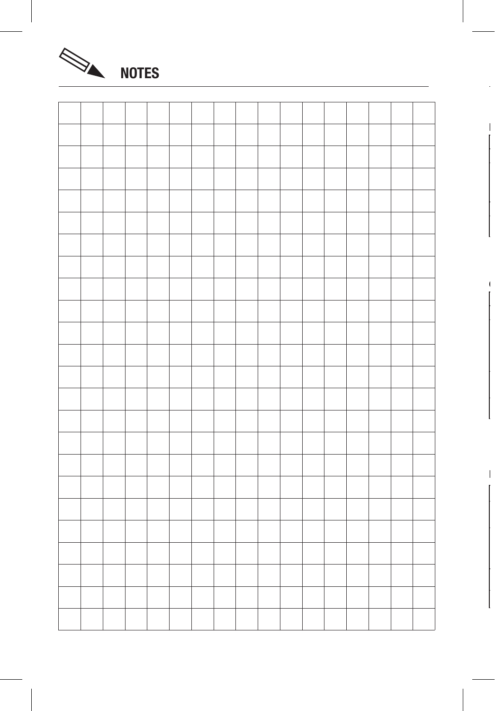



 $\mathbf{I}$ 

 $\blacksquare$ 

 $\mathbb{E}$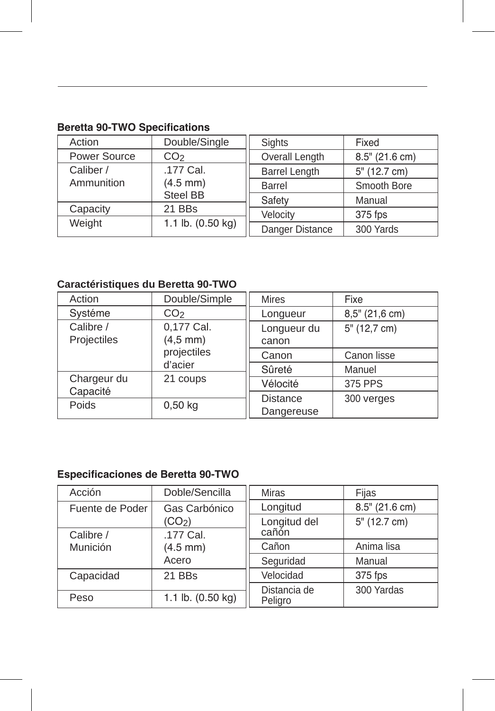| Action                               | Double/Single   | <b>Sights</b>        | Fixed          |
|--------------------------------------|-----------------|----------------------|----------------|
| Power Source                         | CO <sub>2</sub> | Overall Length       | 8.5" (21.6 cm) |
| Caliber /                            | .177 Cal.       | <b>Barrel Length</b> | 5" (12.7 cm)   |
| Ammunition<br>$(4.5$ mm)<br>Steel BB | Barrel          | Smooth Bore          |                |
|                                      | Safety          | Manual               |                |
| Capacity                             | 21 BBs          | Velocity             | 375 fps        |
| 1.1 lb. (0.50 kg)<br>Weight          | Danger Distance | 300 Yards            |                |

## **Beretta 90-TWO Specifications**

## **Caractéristiques du Beretta 90-TWO**

| Action                                                                              | Double/Simple   | <b>Mires</b>         | Fixe             |
|-------------------------------------------------------------------------------------|-----------------|----------------------|------------------|
| Systéme                                                                             | CO <sub>2</sub> | Longueur             | $8,5"$ (21,6 cm) |
| 0,177 Cal.<br>Calibre /<br>Projectiles<br>$(4, 5$ mm)                               |                 | Longueur du<br>canon | 5" (12,7 cm)     |
| projectiles<br>d'acier<br>Chargeur du<br>21 coups<br>Capacité<br>Poids<br>$0.50$ kg |                 | Canon                | Canon lisse      |
|                                                                                     |                 | Sûreté               | Manuel           |
|                                                                                     | Vélocité        | 375 PPS              |                  |
|                                                                                     | <b>Distance</b> | 300 verges           |                  |
|                                                                                     |                 | Dangereuse           |                  |

## **Especificaciones de Beretta 90-TWO**

| Acción                | Doble/Sencilla              | <b>Miras</b>          | Fijas             |
|-----------------------|-----------------------------|-----------------------|-------------------|
| Fuente de Poder       | Gas Carbónico               |                       | $8.5''$ (21.6 cm) |
|                       | (CO <sub>2</sub> )          | Longitud del<br>cañón | 5" (12.7 cm)      |
| Calibre /<br>Munición | .177 Cal.<br>$(4.5$ mm)     | Cañon                 | Anima lisa        |
|                       | Acero                       |                       |                   |
|                       |                             | Seguridad             | Manual            |
| Capacidad             | 21 BBs                      | Velocidad             | 375 fps           |
|                       |                             | Distancia de          | 300 Yardas        |
| Peso                  | 1.1 lb. $(0.50 \text{ kg})$ | Peligro               |                   |